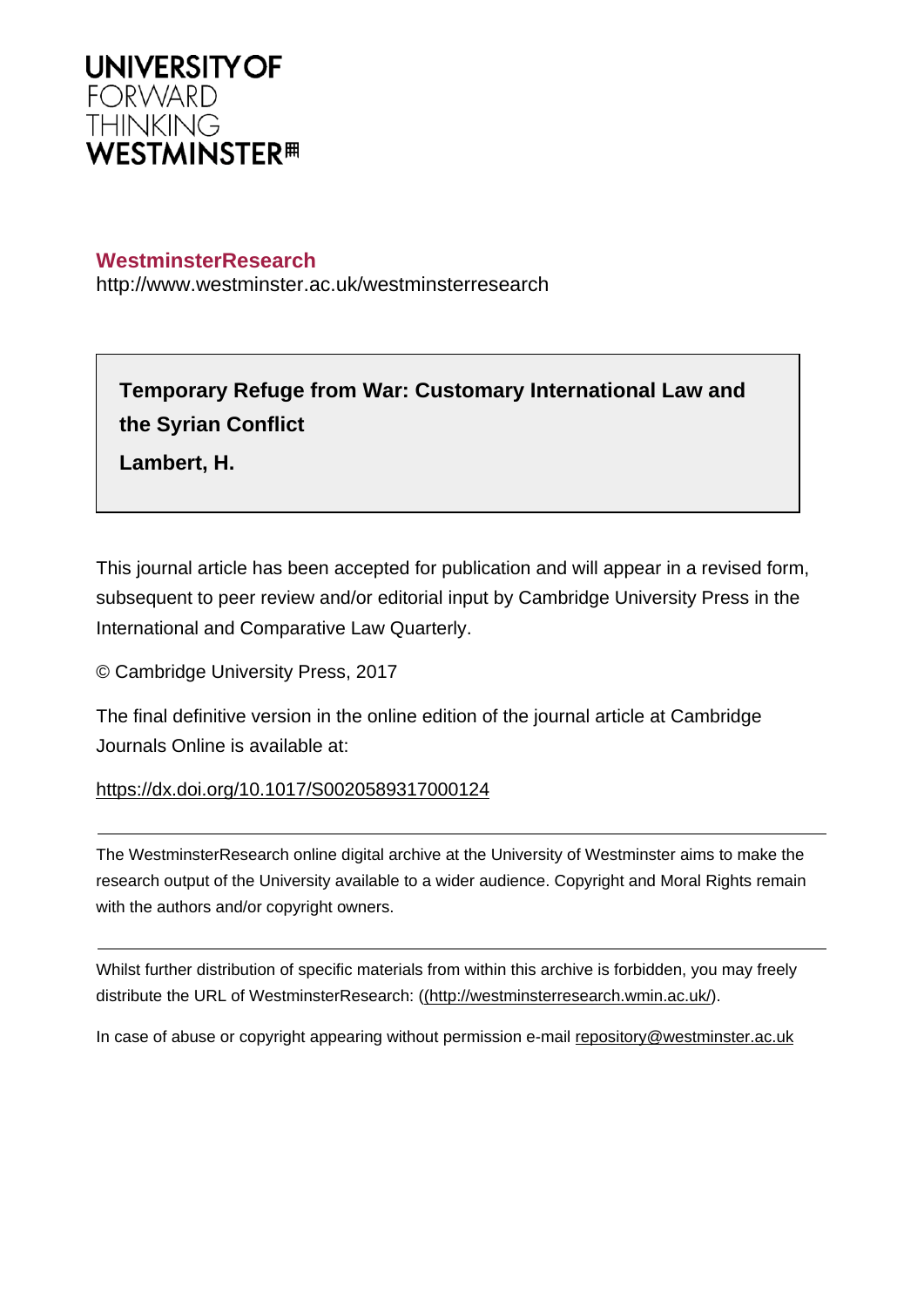

# **WestminsterResearch**

http://www.westminster.ac.uk/westminsterresearch

# **Temporary Refuge from War: Customary International Law and the Syrian Conflict**

**Lambert, H.**

This journal article has been accepted for publication and will appear in a revised form, subsequent to peer review and/or editorial input by Cambridge University Press in the International and Comparative Law Quarterly.

© Cambridge University Press, 2017

The final definitive version in the online edition of the journal article at Cambridge Journals Online is available at:

## <https://dx.doi.org/10.1017/S0020589317000124>

The WestminsterResearch online digital archive at the University of Westminster aims to make the research output of the University available to a wider audience. Copyright and Moral Rights remain with the authors and/or copyright owners.

Whilst further distribution of specific materials from within this archive is forbidden, you may freely distribute the URL of WestminsterResearch: [\(\(http://westminsterresearch.wmin.ac.uk/](http://westminsterresearch.wmin.ac.uk/)).

In case of abuse or copyright appearing without permission e-mail <repository@westminster.ac.uk>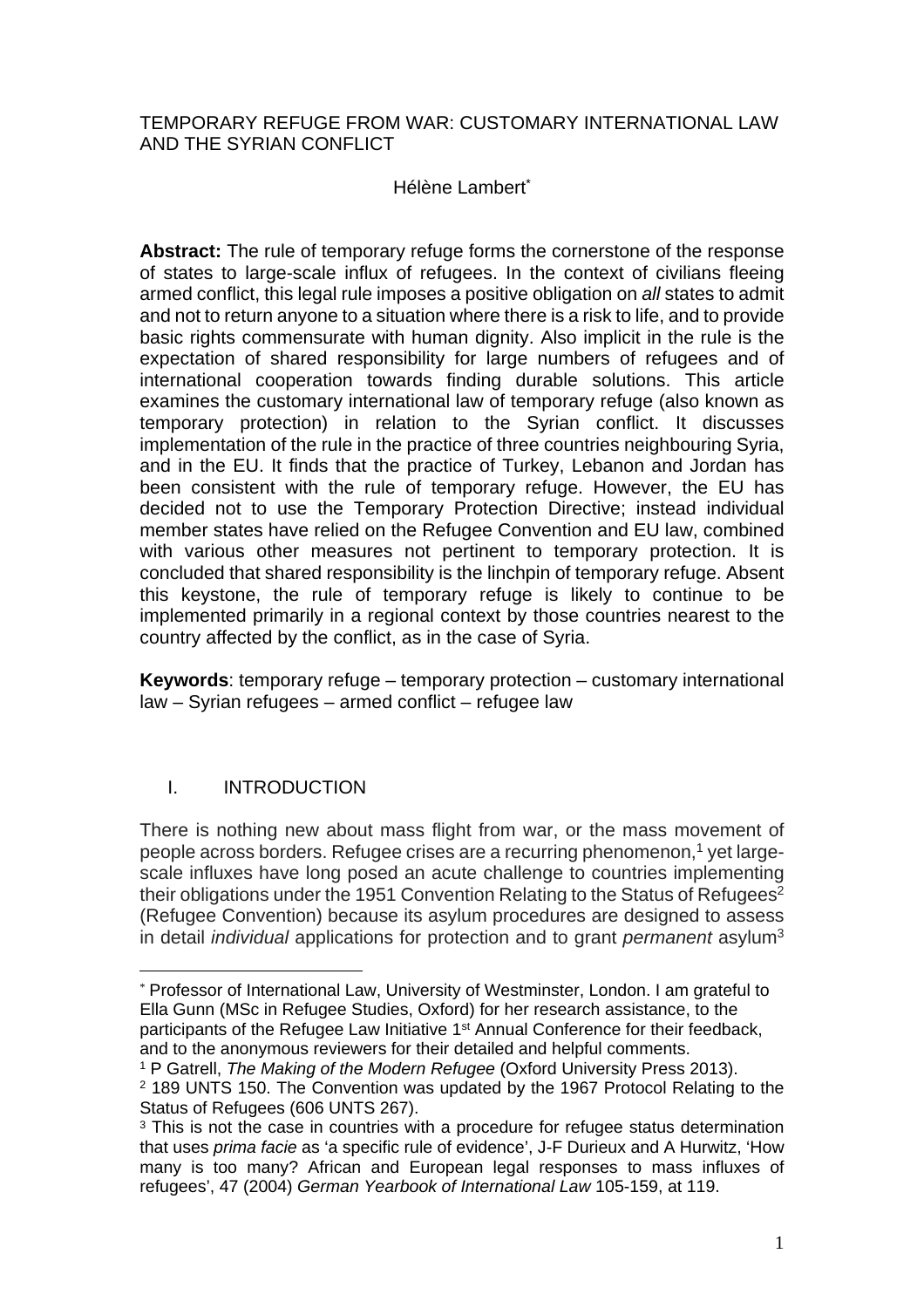## TEMPORARY REFUGE FROM WAR: CUSTOMARY INTERNATIONAL LAW AND THE SYRIAN CONFLICT

## Hélène Lambert\*

**Abstract:** The rule of temporary refuge forms the cornerstone of the response of states to large-scale influx of refugees. In the context of civilians fleeing armed conflict, this legal rule imposes a positive obligation on all states to admit and not to return anyone to a situation where there is a risk to life, and to provide basic rights commensurate with human dignity. Also implicit in the rule is the expectation of shared responsibility for large numbers of refugees and of international cooperation towards finding durable solutions. This article examines the customary international law of temporary refuge (also known as temporary protection) in relation to the Syrian conflict. It discusses implementation of the rule in the practice of three countries neighbouring Syria, and in the EU. It finds that the practice of Turkey, Lebanon and Jordan has been consistent with the rule of temporary refuge. However, the EU has decided not to use the Temporary Protection Directive; instead individual member states have relied on the Refugee Convention and EU law, combined with various other measures not pertinent to temporary protection. It is concluded that shared responsibility is the linchpin of temporary refuge. Absent this keystone, the rule of temporary refuge is likely to continue to be implemented primarily in a regional context by those countries nearest to the country affected by the conflict, as in the case of Syria.

**Keywords**: temporary refuge – temporary protection – customary international law – Syrian refugees – armed conflict – refugee law

# I. INTRODUCTION

There is nothing new about mass flight from war, or the mass movement of people across borders. Refugee crises are a recurring phenomenon,<sup>1</sup> yet largescale influxes have long posed an acute challenge to countries implementing their obligations under the 1951 Convention Relating to the Status of Refugees<sup>2</sup> (Refugee Convention) because its asylum procedures are designed to assess in detail *individual* applications for protection and to grant *permanent* asylum<sup>3</sup>

<sup>\*</sup> Professor of International Law, University of Westminster, London. I am grateful to Ella Gunn (MSc in Refugee Studies, Oxford) for her research assistance, to the participants of the Refugee Law Initiative 1<sup>st</sup> Annual Conference for their feedback, and to the anonymous reviewers for their detailed and helpful comments.

<sup>&</sup>lt;sup>1</sup> P Gatrell, The Making of the Modern Refugee (Oxford University Press 2013).

<sup>2</sup> 189 UNTS 150. The Convention was updated by the 1967 Protocol Relating to the Status of Refugees (606 UNTS 267).

<sup>&</sup>lt;sup>3</sup> This is not the case in countries with a procedure for refugee status determination that uses prima facie as 'a specific rule of evidence', J-F Durieux and A Hurwitz, 'How many is too many? African and European legal responses to mass influxes of refugees', 47 (2004) German Yearbook of International Law 105-159, at 119.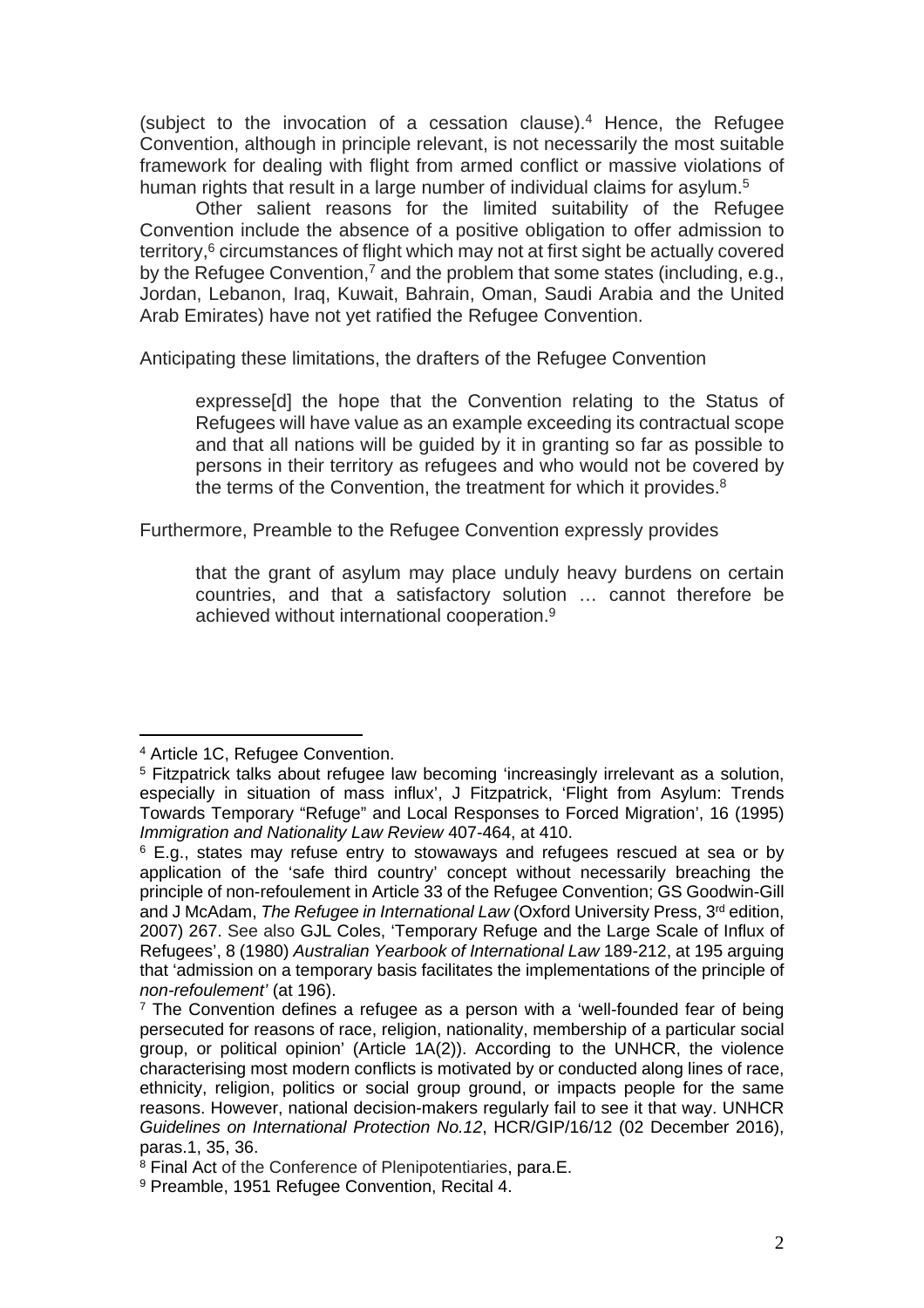(subject to the invocation of a cessation clause).<sup>4</sup> Hence, the Refugee Convention, although in principle relevant, is not necessarily the most suitable framework for dealing with flight from armed conflict or massive violations of human rights that result in a large number of individual claims for asylum.<sup>5</sup>

Other salient reasons for the limited suitability of the Refugee Convention include the absence of a positive obligation to offer admission to territory,<sup>6</sup> circumstances of flight which may not at first sight be actually covered by the Refugee Convention,<sup>7</sup> and the problem that some states (including, e.g., Jordan, Lebanon, Iraq, Kuwait, Bahrain, Oman, Saudi Arabia and the United Arab Emirates) have not yet ratified the Refugee Convention.

Anticipating these limitations, the drafters of the Refugee Convention

expresse[d] the hope that the Convention relating to the Status of Refugees will have value as an example exceeding its contractual scope and that all nations will be guided by it in granting so far as possible to persons in their territory as refugees and who would not be covered by the terms of the Convention, the treatment for which it provides.<sup>8</sup>

Furthermore, Preamble to the Refugee Convention expressly provides

that the grant of asylum may place unduly heavy burdens on certain countries, and that a satisfactory solution … cannot therefore be achieved without international cooperation.<sup>9</sup>

<sup>4</sup> Article 1C, Refugee Convention.

<sup>&</sup>lt;sup>5</sup> Fitzpatrick talks about refugee law becoming 'increasingly irrelevant as a solution, especially in situation of mass influx', J Fitzpatrick, 'Flight from Asylum: Trends Towards Temporary "Refuge" and Local Responses to Forced Migration', 16 (1995) Immigration and Nationality Law Review 407-464, at 410.

<sup>6</sup> E.g., states may refuse entry to stowaways and refugees rescued at sea or by application of the 'safe third country' concept without necessarily breaching the principle of non-refoulement in Article 33 of the Refugee Convention; GS Goodwin-Gill and J McAdam, The Refugee in International Law (Oxford University Press,  $3<sup>rd</sup>$  edition, 2007) 267. See also GJL Coles, 'Temporary Refuge and the Large Scale of Influx of Refugees', 8 (1980) Australian Yearbook of International Law 189-212, at 195 arguing that 'admission on a temporary basis facilitates the implementations of the principle of non-refoulement' (at 196).

<sup>&</sup>lt;sup>7</sup> The Convention defines a refugee as a person with a 'well-founded fear of being persecuted for reasons of race, religion, nationality, membership of a particular social group, or political opinion' (Article 1A(2)). According to the UNHCR, the violence characterising most modern conflicts is motivated by or conducted along lines of race, ethnicity, religion, politics or social group ground, or impacts people for the same reasons. However, national decision-makers regularly fail to see it that way. UNHCR Guidelines on International Protection No.12, HCR/GIP/16/12 (02 December 2016), paras.1, 35, 36.

<sup>&</sup>lt;sup>8</sup> Final Act of the Conference of Plenipotentiaries, para.E.

<sup>9</sup> Preamble, 1951 Refugee Convention, Recital 4.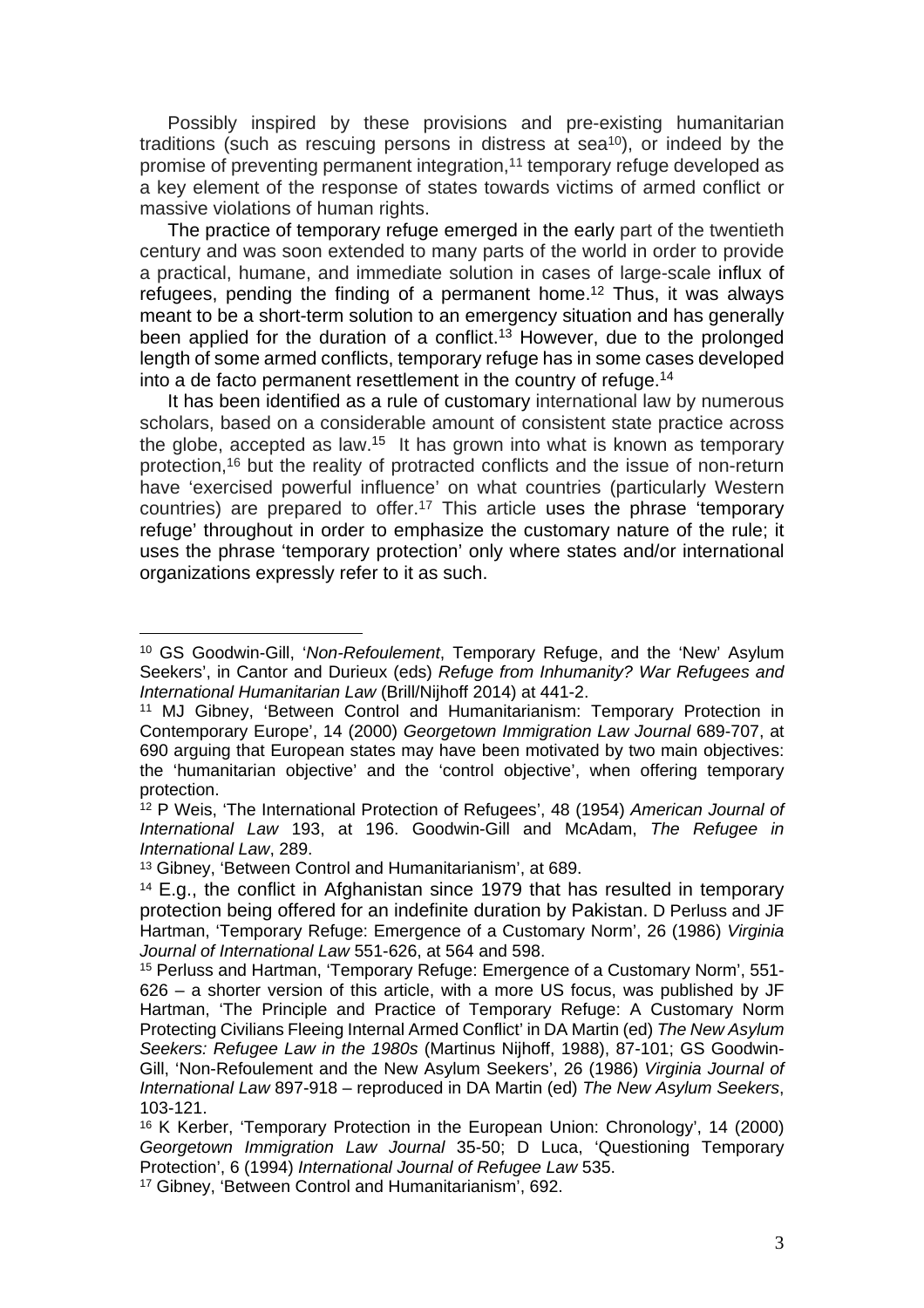Possibly inspired by these provisions and pre-existing humanitarian traditions (such as rescuing persons in distress at sea<sup>10</sup>), or indeed by the promise of preventing permanent integration,<sup>11</sup> temporary refuge developed as a key element of the response of states towards victims of armed conflict or massive violations of human rights.

The practice of temporary refuge emerged in the early part of the twentieth century and was soon extended to many parts of the world in order to provide a practical, humane, and immediate solution in cases of large-scale influx of refugees, pending the finding of a permanent home.<sup>12</sup> Thus, it was always meant to be a short-term solution to an emergency situation and has generally been applied for the duration of a conflict.<sup>13</sup> However, due to the prolonged length of some armed conflicts, temporary refuge has in some cases developed into a de facto permanent resettlement in the country of refuge.<sup>14</sup>

It has been identified as a rule of customary international law by numerous scholars, based on a considerable amount of consistent state practice across the globe, accepted as law.<sup>15</sup> It has grown into what is known as temporary protection,<sup>16</sup> but the reality of protracted conflicts and the issue of non-return have 'exercised powerful influence' on what countries (particularly Western countries) are prepared to offer.<sup>17</sup> This article uses the phrase 'temporary refuge' throughout in order to emphasize the customary nature of the rule; it uses the phrase 'temporary protection' only where states and/or international organizations expressly refer to it as such.

<sup>&</sup>lt;sup>10</sup> GS Goodwin-Gill, 'Non-Refoulement, Temporary Refuge, and the 'New' Asylum Seekers', in Cantor and Durieux (eds) Refuge from Inhumanity? War Refugees and International Humanitarian Law (Brill/Nijhoff 2014) at 441-2.

<sup>11</sup> MJ Gibney, 'Between Control and Humanitarianism: Temporary Protection in Contemporary Europe', 14 (2000) Georgetown Immigration Law Journal 689-707, at 690 arguing that European states may have been motivated by two main objectives: the 'humanitarian objective' and the 'control objective', when offering temporary protection.

<sup>&</sup>lt;sup>12</sup> P Weis, 'The International Protection of Refugees', 48 (1954) American Journal of International Law 193, at 196. Goodwin-Gill and McAdam, The Refugee in International Law, 289.

<sup>13</sup> Gibney, 'Between Control and Humanitarianism', at 689.

<sup>&</sup>lt;sup>14</sup> E.g., the conflict in Afghanistan since 1979 that has resulted in temporary protection being offered for an indefinite duration by Pakistan. D Perluss and JF Hartman, 'Temporary Refuge: Emergence of a Customary Norm', 26 (1986) Virginia Journal of International Law 551-626, at 564 and 598.

<sup>15</sup> Perluss and Hartman, 'Temporary Refuge: Emergence of a Customary Norm', 551- 626 – a shorter version of this article, with a more US focus, was published by JF Hartman, 'The Principle and Practice of Temporary Refuge: A Customary Norm Protecting Civilians Fleeing Internal Armed Conflict' in DA Martin (ed) The New Asylum Seekers: Refugee Law in the 1980s (Martinus Nijhoff, 1988), 87-101; GS Goodwin-Gill, 'Non-Refoulement and the New Asylum Seekers', 26 (1986) Virginia Journal of International Law 897-918 – reproduced in DA Martin (ed) The New Asylum Seekers, 103-121.

<sup>16</sup> K Kerber, 'Temporary Protection in the European Union: Chronology', 14 (2000) Georgetown Immigration Law Journal 35-50; D Luca, 'Questioning Temporary Protection', 6 (1994) International Journal of Refugee Law 535.

<sup>17</sup> Gibney, 'Between Control and Humanitarianism', 692.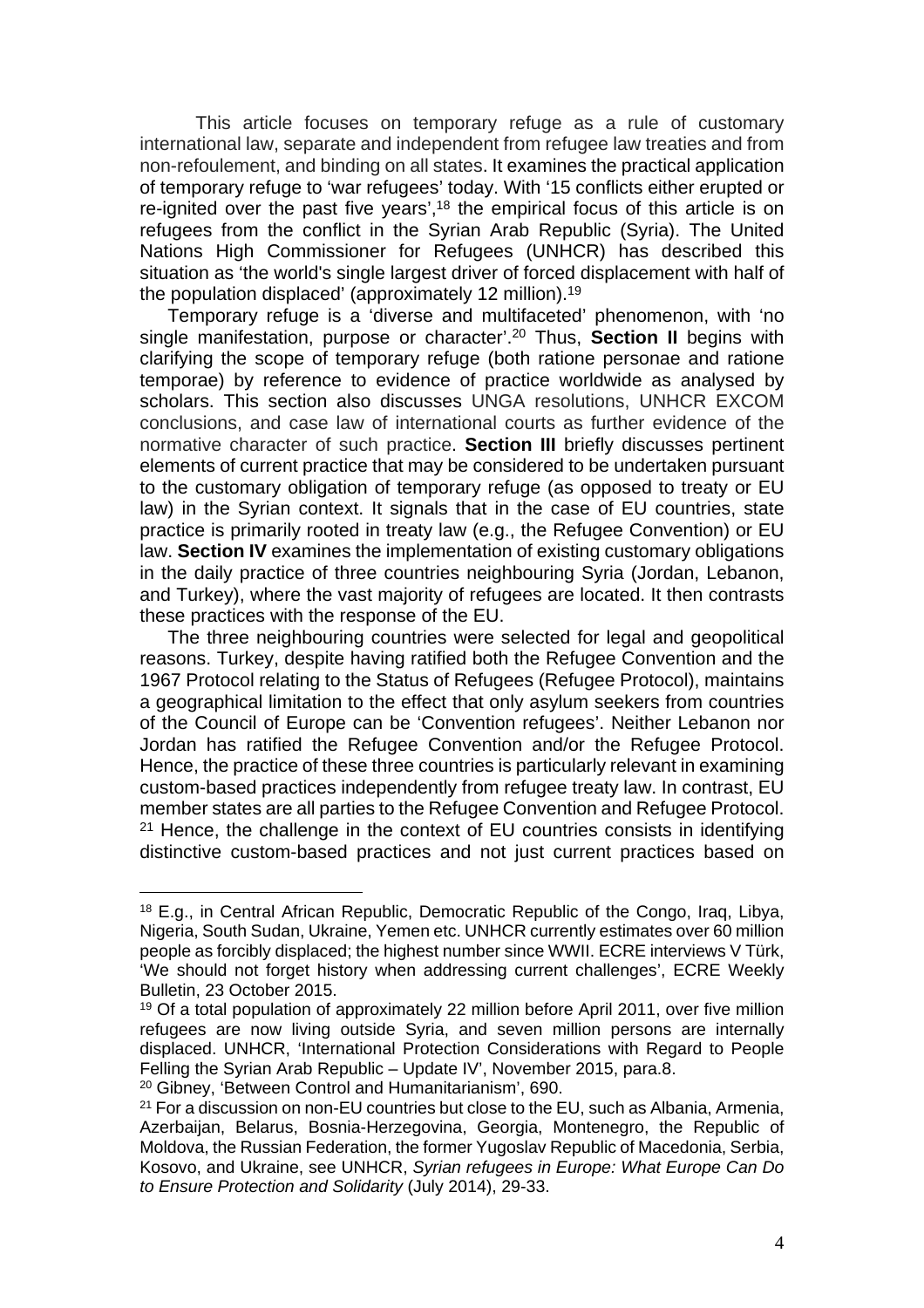This article focuses on temporary refuge as a rule of customary international law, separate and independent from refugee law treaties and from non-refoulement, and binding on all states. It examines the practical application of temporary refuge to 'war refugees' today. With '15 conflicts either erupted or re-ignited over the past five years',<sup>18</sup> the empirical focus of this article is on refugees from the conflict in the Syrian Arab Republic (Syria). The United Nations High Commissioner for Refugees (UNHCR) has described this situation as 'the world's single largest driver of forced displacement with half of the population displaced' (approximately 12 million).<sup>19</sup>

Temporary refuge is a 'diverse and multifaceted' phenomenon, with 'no single manifestation, purpose or character'.<sup>20</sup> Thus, **Section II** begins with clarifying the scope of temporary refuge (both ratione personae and ratione temporae) by reference to evidence of practice worldwide as analysed by scholars. This section also discusses UNGA resolutions, UNHCR EXCOM conclusions, and case law of international courts as further evidence of the normative character of such practice. **Section III** briefly discusses pertinent elements of current practice that may be considered to be undertaken pursuant to the customary obligation of temporary refuge (as opposed to treaty or EU law) in the Syrian context. It signals that in the case of EU countries, state practice is primarily rooted in treaty law (e.g., the Refugee Convention) or EU law. **Section IV** examines the implementation of existing customary obligations in the daily practice of three countries neighbouring Syria (Jordan, Lebanon, and Turkey), where the vast majority of refugees are located. It then contrasts these practices with the response of the EU.

The three neighbouring countries were selected for legal and geopolitical reasons. Turkey, despite having ratified both the Refugee Convention and the 1967 Protocol relating to the Status of Refugees (Refugee Protocol), maintains a geographical limitation to the effect that only asylum seekers from countries of the Council of Europe can be 'Convention refugees'. Neither Lebanon nor Jordan has ratified the Refugee Convention and/or the Refugee Protocol. Hence, the practice of these three countries is particularly relevant in examining custom-based practices independently from refugee treaty law. In contrast, EU member states are all parties to the Refugee Convention and Refugee Protocol.  $21$  Hence, the challenge in the context of EU countries consists in identifying distinctive custom-based practices and not just current practices based on

<sup>18</sup> E.g., in Central African Republic, Democratic Republic of the Congo, Iraq, Libya, Nigeria, South Sudan, Ukraine, Yemen etc. UNHCR currently estimates over 60 million people as forcibly displaced; the highest number since WWII. ECRE interviews V Türk, 'We should not forget history when addressing current challenges', ECRE Weekly Bulletin, 23 October 2015.

<sup>&</sup>lt;sup>19</sup> Of a total population of approximately 22 million before April 2011, over five million refugees are now living outside Syria, and seven million persons are internally displaced. UNHCR, 'International Protection Considerations with Regard to People Felling the Syrian Arab Republic – Update IV', November 2015, para.8.

<sup>20</sup> Gibney, 'Between Control and Humanitarianism', 690.

<sup>&</sup>lt;sup>21</sup> For a discussion on non-EU countries but close to the EU, such as Albania, Armenia, Azerbaijan, Belarus, Bosnia-Herzegovina, Georgia, Montenegro, the Republic of Moldova, the Russian Federation, the former Yugoslav Republic of Macedonia, Serbia, Kosovo, and Ukraine, see UNHCR, Syrian refugees in Europe: What Europe Can Do to Ensure Protection and Solidarity (July 2014), 29-33.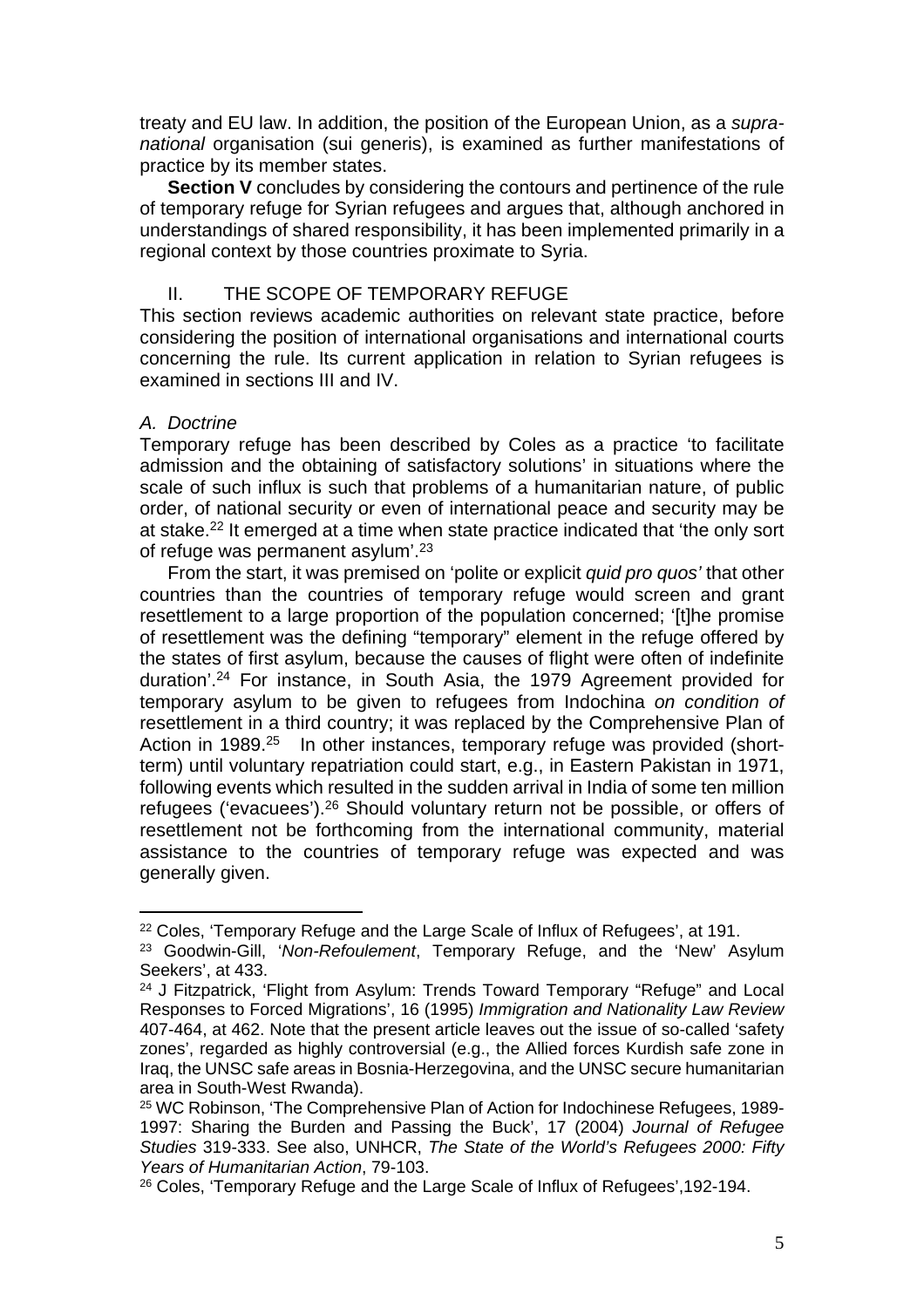treaty and EU law. In addition, the position of the European Union, as a supranational organisation (sui generis), is examined as further manifestations of practice by its member states.

**Section V** concludes by considering the contours and pertinence of the rule of temporary refuge for Syrian refugees and argues that, although anchored in understandings of shared responsibility, it has been implemented primarily in a regional context by those countries proximate to Syria.

## II. THE SCOPE OF TEMPORARY REFUGE

This section reviews academic authorities on relevant state practice, before considering the position of international organisations and international courts concerning the rule. Its current application in relation to Syrian refugees is examined in sections III and IV.

#### A. Doctrine

Temporary refuge has been described by Coles as a practice 'to facilitate admission and the obtaining of satisfactory solutions' in situations where the scale of such influx is such that problems of a humanitarian nature, of public order, of national security or even of international peace and security may be at stake.<sup>22</sup> It emerged at a time when state practice indicated that 'the only sort of refuge was permanent asylum'.<sup>23</sup>

From the start, it was premised on 'polite or explicit quid pro quos' that other countries than the countries of temporary refuge would screen and grant resettlement to a large proportion of the population concerned; '[t]he promise of resettlement was the defining "temporary" element in the refuge offered by the states of first asylum, because the causes of flight were often of indefinite duration'.<sup>24</sup> For instance, in South Asia, the 1979 Agreement provided for temporary asylum to be given to refugees from Indochina on condition of resettlement in a third country; it was replaced by the Comprehensive Plan of Action in 1989.<sup>25</sup> In other instances, temporary refuge was provided (shortterm) until voluntary repatriation could start, e.g., in Eastern Pakistan in 1971, following events which resulted in the sudden arrival in India of some ten million refugees ('evacuees').<sup>26</sup> Should voluntary return not be possible, or offers of resettlement not be forthcoming from the international community, material assistance to the countries of temporary refuge was expected and was generally given.

<sup>22</sup> Coles, 'Temporary Refuge and the Large Scale of Influx of Refugees', at 191.

<sup>&</sup>lt;sup>23</sup> Goodwin-Gill, 'Non-Refoulement, Temporary Refuge, and the 'New' Asylum Seekers', at 433.

<sup>&</sup>lt;sup>24</sup> J Fitzpatrick, 'Flight from Asylum: Trends Toward Temporary "Refuge" and Local Responses to Forced Migrations', 16 (1995) Immigration and Nationality Law Review 407-464, at 462. Note that the present article leaves out the issue of so-called 'safety zones', regarded as highly controversial (e.g., the Allied forces Kurdish safe zone in Iraq, the UNSC safe areas in Bosnia-Herzegovina, and the UNSC secure humanitarian area in South-West Rwanda).

<sup>25</sup> WC Robinson, 'The Comprehensive Plan of Action for Indochinese Refugees, 1989- 1997: Sharing the Burden and Passing the Buck', 17 (2004) Journal of Refugee Studies 319-333. See also, UNHCR, The State of the World's Refugees 2000: Fifty Years of Humanitarian Action, 79-103.

<sup>&</sup>lt;sup>26</sup> Coles, 'Temporary Refuge and the Large Scale of Influx of Refugees', 192-194.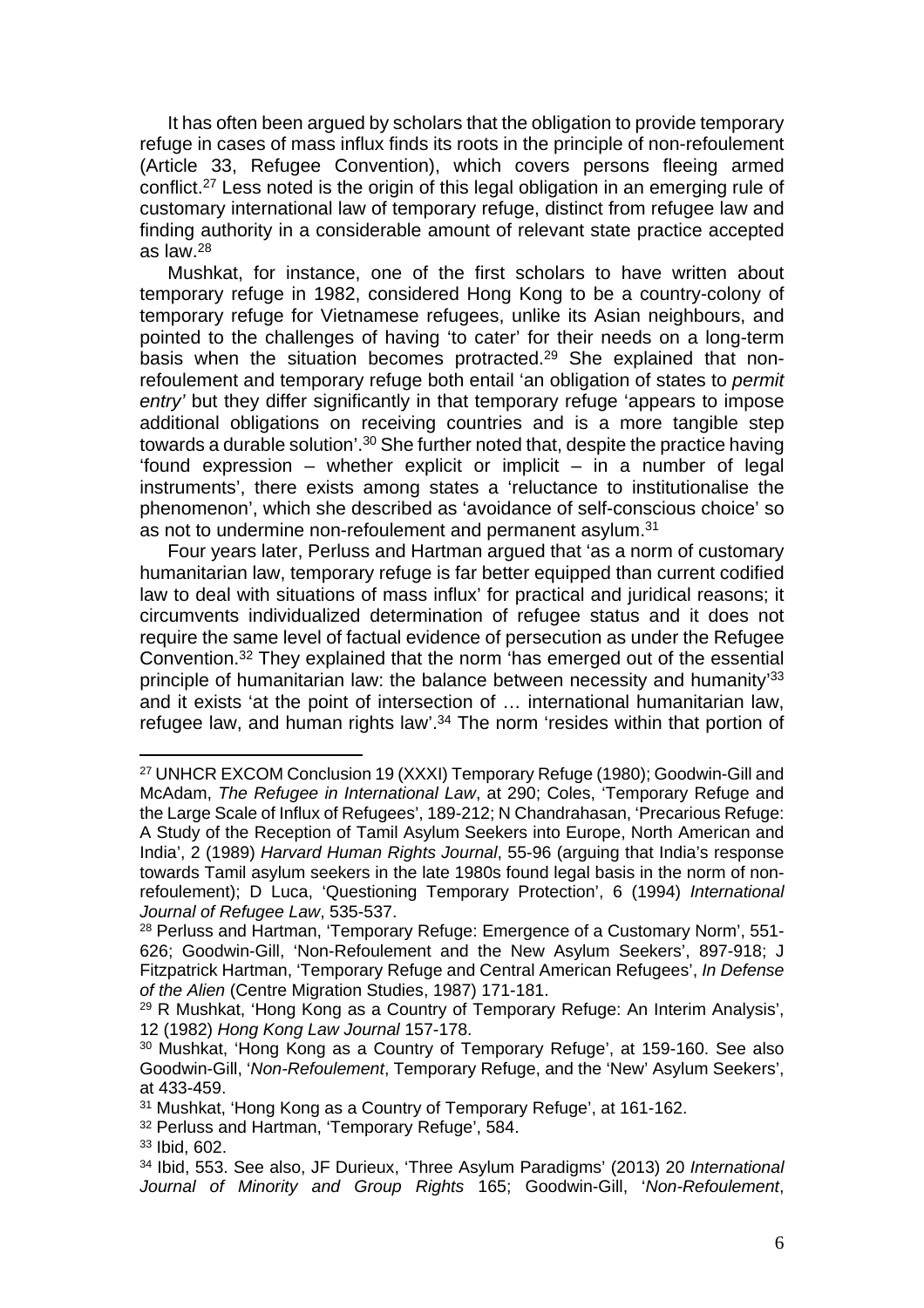It has often been argued by scholars that the obligation to provide temporary refuge in cases of mass influx finds its roots in the principle of non-refoulement (Article 33, Refugee Convention), which covers persons fleeing armed conflict.<sup>27</sup> Less noted is the origin of this legal obligation in an emerging rule of customary international law of temporary refuge, distinct from refugee law and finding authority in a considerable amount of relevant state practice accepted as law.<sup>28</sup>

Mushkat, for instance, one of the first scholars to have written about temporary refuge in 1982, considered Hong Kong to be a country-colony of temporary refuge for Vietnamese refugees, unlike its Asian neighbours, and pointed to the challenges of having 'to cater' for their needs on a long-term basis when the situation becomes protracted.<sup>29</sup> She explained that nonrefoulement and temporary refuge both entail 'an obligation of states to permit entry' but they differ significantly in that temporary refuge 'appears to impose additional obligations on receiving countries and is a more tangible step towards a durable solution'.<sup>30</sup> She further noted that, despite the practice having 'found expression – whether explicit or implicit – in a number of legal instruments', there exists among states a 'reluctance to institutionalise the phenomenon', which she described as 'avoidance of self-conscious choice' so as not to undermine non-refoulement and permanent asylum.<sup>31</sup>

Four years later, Perluss and Hartman argued that 'as a norm of customary humanitarian law, temporary refuge is far better equipped than current codified law to deal with situations of mass influx' for practical and juridical reasons; it circumvents individualized determination of refugee status and it does not require the same level of factual evidence of persecution as under the Refugee Convention.<sup>32</sup> They explained that the norm 'has emerged out of the essential principle of humanitarian law: the balance between necessity and humanity<sup>33</sup> and it exists 'at the point of intersection of … international humanitarian law, refugee law, and human rights law'.<sup>34</sup> The norm 'resides within that portion of

<sup>27</sup> UNHCR EXCOM Conclusion 19 (XXXI) Temporary Refuge (1980); Goodwin-Gill and McAdam, The Refugee in International Law, at 290; Coles, 'Temporary Refuge and the Large Scale of Influx of Refugees', 189-212; N Chandrahasan, 'Precarious Refuge: A Study of the Reception of Tamil Asylum Seekers into Europe, North American and India', 2 (1989) Harvard Human Rights Journal, 55-96 (arguing that India's response towards Tamil asylum seekers in the late 1980s found legal basis in the norm of nonrefoulement); D Luca, 'Questioning Temporary Protection', 6 (1994) International Journal of Refugee Law, 535-537.

<sup>28</sup> Perluss and Hartman, 'Temporary Refuge: Emergence of a Customary Norm', 551- 626; Goodwin-Gill, 'Non-Refoulement and the New Asylum Seekers', 897-918; J Fitzpatrick Hartman, 'Temporary Refuge and Central American Refugees', In Defense of the Alien (Centre Migration Studies, 1987) 171-181.

<sup>29</sup> R Mushkat, 'Hong Kong as a Country of Temporary Refuge: An Interim Analysis', 12 (1982) Hong Kong Law Journal 157-178.

<sup>30</sup> Mushkat, 'Hong Kong as a Country of Temporary Refuge', at 159-160. See also Goodwin-Gill, 'Non-Refoulement, Temporary Refuge, and the 'New' Asylum Seekers', at 433-459.

<sup>31</sup> Mushkat, 'Hong Kong as a Country of Temporary Refuge', at 161-162.

<sup>32</sup> Perluss and Hartman, 'Temporary Refuge', 584.

<sup>33</sup> Ibid, 602.

<sup>34</sup> Ibid, 553. See also, JF Durieux, 'Three Asylum Paradigms' (2013) 20 International Journal of Minority and Group Rights 165; Goodwin-Gill, 'Non-Refoulement,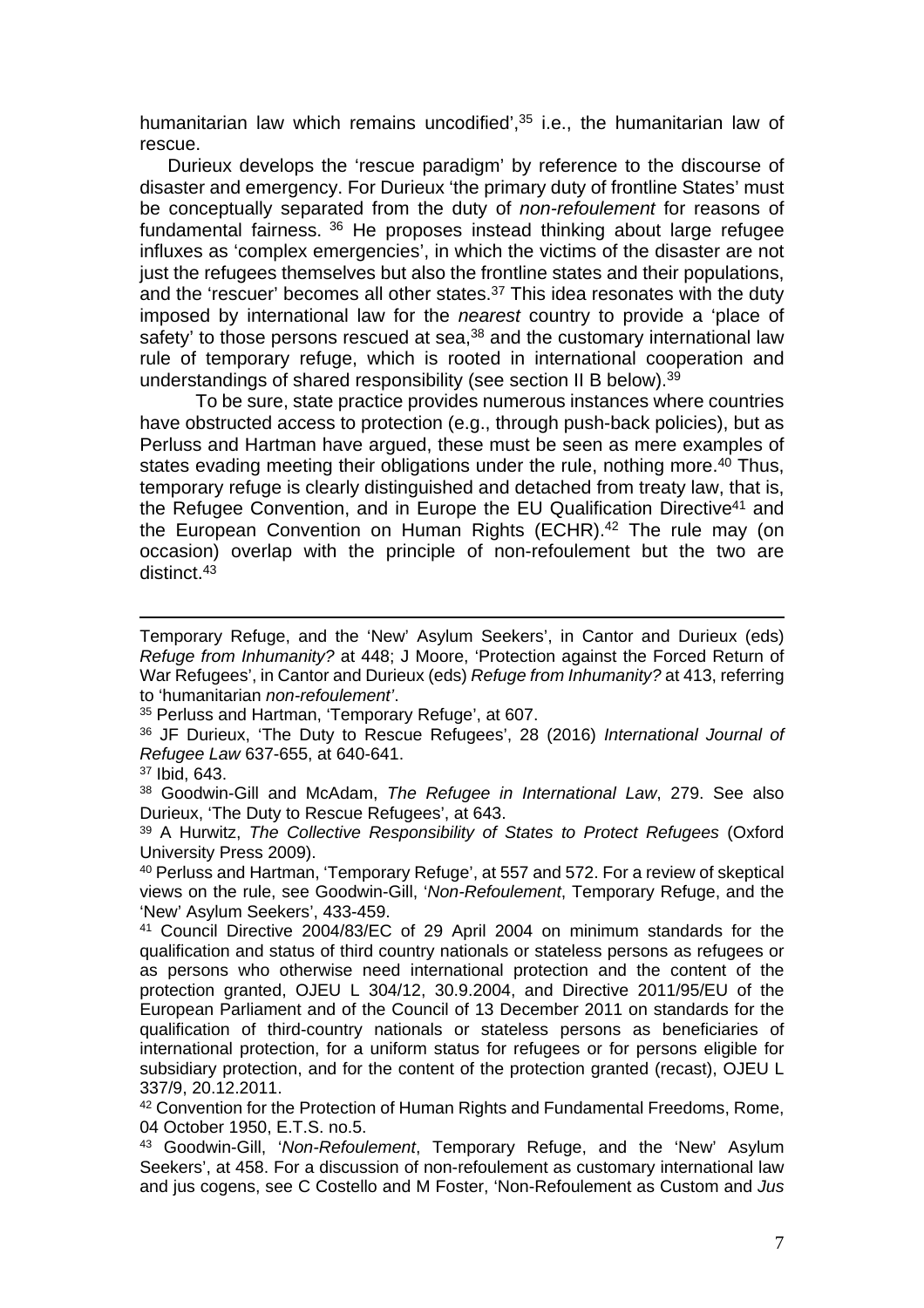humanitarian law which remains uncodified',<sup>35</sup> i.e., the humanitarian law of rescue.

Durieux develops the 'rescue paradigm' by reference to the discourse of disaster and emergency. For Durieux 'the primary duty of frontline States' must be conceptually separated from the duty of non-refoulement for reasons of fundamental fairness.  $36$  He proposes instead thinking about large refugee influxes as 'complex emergencies', in which the victims of the disaster are not just the refugees themselves but also the frontline states and their populations, and the 'rescuer' becomes all other states.<sup>37</sup> This idea resonates with the duty imposed by international law for the nearest country to provide a 'place of safety' to those persons rescued at sea,<sup>38</sup> and the customary international law rule of temporary refuge, which is rooted in international cooperation and understandings of shared responsibility (see section II B below).<sup>39</sup>

To be sure, state practice provides numerous instances where countries have obstructed access to protection (e.g., through push-back policies), but as Perluss and Hartman have argued, these must be seen as mere examples of states evading meeting their obligations under the rule, nothing more.<sup>40</sup> Thus, temporary refuge is clearly distinguished and detached from treaty law, that is, the Refugee Convention, and in Europe the EU Qualification Directive<sup>41</sup> and the European Convention on Human Rights (ECHR).<sup>42</sup> The rule may (on occasion) overlap with the principle of non-refoulement but the two are distinct.<sup>43</sup>

Temporary Refuge, and the 'New' Asylum Seekers', in Cantor and Durieux (eds) Refuge from Inhumanity? at 448; J Moore, 'Protection against the Forced Return of War Refugees', in Cantor and Durieux (eds) Refuge from Inhumanity? at 413, referring to 'humanitarian non-refoulement'.

<sup>35</sup> Perluss and Hartman, 'Temporary Refuge', at 607.

<sup>36</sup> JF Durieux, 'The Duty to Rescue Refugees', 28 (2016) International Journal of Refugee Law 637-655, at 640-641.

<sup>37</sup> Ibid, 643.

<sup>38</sup> Goodwin-Gill and McAdam, The Refugee in International Law, 279, See also Durieux, 'The Duty to Rescue Refugees', at 643.

<sup>39</sup> A Hurwitz, The Collective Responsibility of States to Protect Refugees (Oxford University Press 2009).

<sup>40</sup> Perluss and Hartman, 'Temporary Refuge', at 557 and 572. For a review of skeptical views on the rule, see Goodwin-Gill, 'Non-Refoulement, Temporary Refuge, and the 'New' Asylum Seekers', 433-459.

<sup>41</sup> Council Directive 2004/83/EC of 29 April 2004 on minimum standards for the qualification and status of third country nationals or stateless persons as refugees or as persons who otherwise need international protection and the content of the protection granted, OJEU L 304/12, 30.9.2004, and Directive 2011/95/EU of the European Parliament and of the Council of 13 December 2011 on standards for the qualification of third-country nationals or stateless persons as beneficiaries of international protection, for a uniform status for refugees or for persons eligible for subsidiary protection, and for the content of the protection granted (recast), OJEU L 337/9, 20.12.2011.

<sup>42</sup> Convention for the Protection of Human Rights and Fundamental Freedoms, Rome, 04 October 1950, E.T.S. no.5.

<sup>43</sup> Goodwin-Gill, 'Non-Refoulement, Temporary Refuge, and the 'New' Asylum Seekers', at 458. For a discussion of non-refoulement as customary international law and jus cogens, see C Costello and M Foster, 'Non-Refoulement as Custom and Jus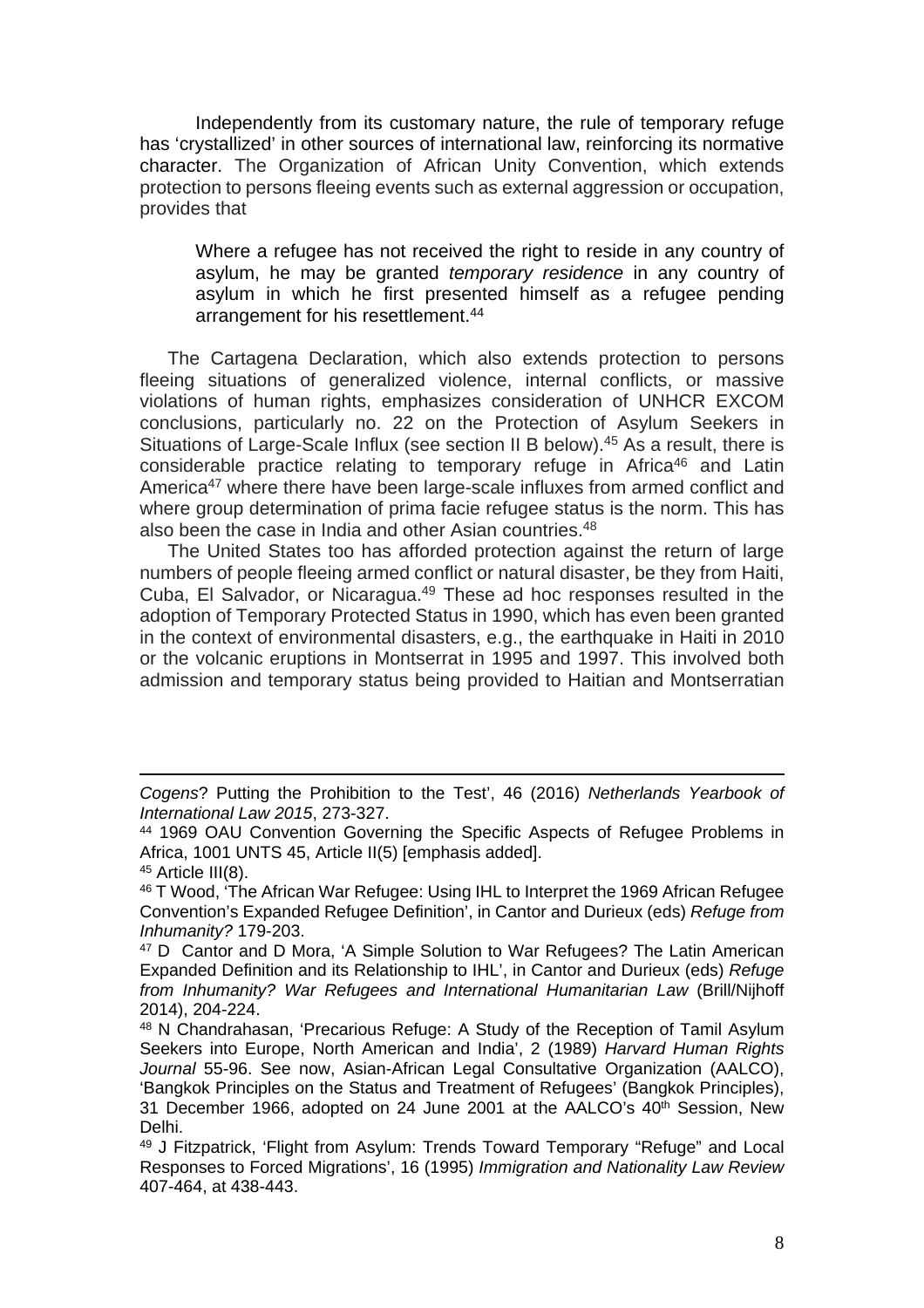Independently from its customary nature, the rule of temporary refuge has 'crystallized' in other sources of international law, reinforcing its normative character. The Organization of African Unity Convention, which extends protection to persons fleeing events such as external aggression or occupation, provides that

Where a refugee has not received the right to reside in any country of asylum, he may be granted temporary residence in any country of asylum in which he first presented himself as a refugee pending arrangement for his resettlement.<sup>44</sup>

The Cartagena Declaration, which also extends protection to persons fleeing situations of generalized violence, internal conflicts, or massive violations of human rights, emphasizes consideration of UNHCR EXCOM conclusions, particularly no. 22 on the Protection of Asylum Seekers in Situations of Large-Scale Influx (see section II B below).<sup>45</sup> As a result, there is considerable practice relating to temporary refuge in Africa<sup>46</sup> and Latin America<sup>47</sup> where there have been large-scale influxes from armed conflict and where group determination of prima facie refugee status is the norm. This has also been the case in India and other Asian countries.<sup>48</sup>

The United States too has afforded protection against the return of large numbers of people fleeing armed conflict or natural disaster, be they from Haiti, Cuba, El Salvador, or Nicaragua.<sup>49</sup> These ad hoc responses resulted in the adoption of Temporary Protected Status in 1990, which has even been granted in the context of environmental disasters, e.g., the earthquake in Haiti in 2010 or the volcanic eruptions in Montserrat in 1995 and 1997. This involved both admission and temporary status being provided to Haitian and Montserratian

Cogens? Putting the Prohibition to the Test', 46 (2016) Netherlands Yearbook of International Law 2015, 273-327.

<sup>44</sup> 1969 OAU Convention Governing the Specific Aspects of Refugee Problems in Africa, 1001 UNTS 45, Article II(5) [emphasis added].

<sup>&</sup>lt;sup>45</sup> Article III(8).

<sup>46</sup> T Wood, 'The African War Refugee: Using IHL to Interpret the 1969 African Refugee Convention's Expanded Refugee Definition', in Cantor and Durieux (eds) Refuge from Inhumanity? 179-203.

<sup>&</sup>lt;sup>47</sup> D Cantor and D Mora, 'A Simple Solution to War Refugees? The Latin American Expanded Definition and its Relationship to IHL', in Cantor and Durieux (eds) Refuge from Inhumanity? War Refugees and International Humanitarian Law (Brill/Nijhoff 2014), 204-224.

<sup>48</sup> N Chandrahasan, 'Precarious Refuge: A Study of the Reception of Tamil Asylum Seekers into Europe, North American and India', 2 (1989) Harvard Human Rights Journal 55-96. See now, Asian-African Legal Consultative Organization (AALCO), 'Bangkok Principles on the Status and Treatment of Refugees' (Bangkok Principles), 31 December 1966, adopted on 24 June 2001 at the AALCO's 40<sup>th</sup> Session, New Delhi.

<sup>49</sup> J Fitzpatrick, 'Flight from Asylum: Trends Toward Temporary "Refuge" and Local Responses to Forced Migrations', 16 (1995) Immigration and Nationality Law Review 407-464, at 438-443.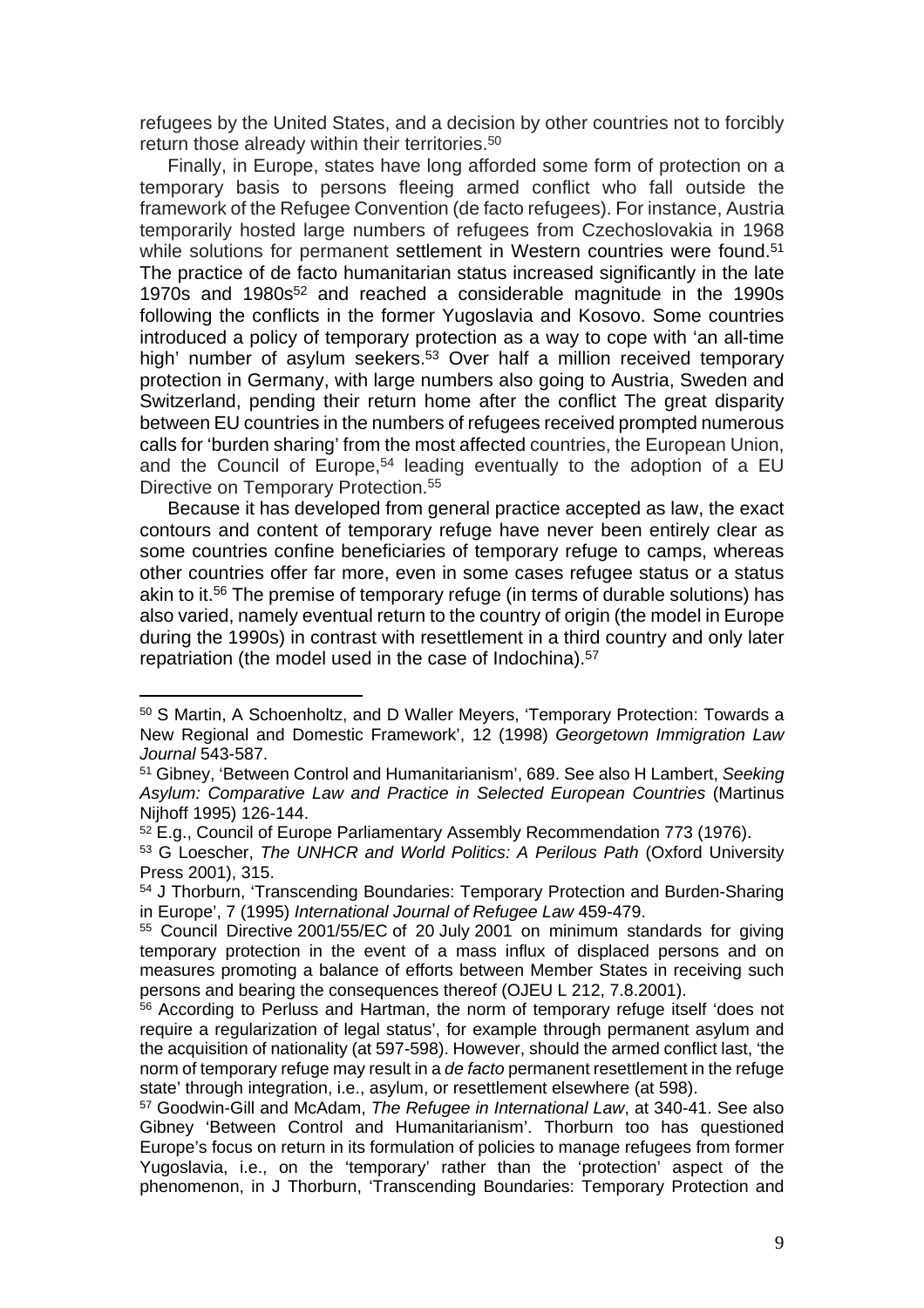refugees by the United States, and a decision by other countries not to forcibly return those already within their territories.<sup>50</sup>

Finally, in Europe, states have long afforded some form of protection on a temporary basis to persons fleeing armed conflict who fall outside the framework of the Refugee Convention (de facto refugees). For instance, Austria temporarily hosted large numbers of refugees from Czechoslovakia in 1968 while solutions for permanent settlement in Western countries were found.<sup>51</sup> The practice of de facto humanitarian status increased significantly in the late 1970s and 1980s<sup>52</sup> and reached a considerable magnitude in the 1990s following the conflicts in the former Yugoslavia and Kosovo. Some countries introduced a policy of temporary protection as a way to cope with 'an all-time high' number of asylum seekers.<sup>53</sup> Over half a million received temporary protection in Germany, with large numbers also going to Austria, Sweden and Switzerland, pending their return home after the conflict The great disparity between EU countries in the numbers of refugees received prompted numerous calls for 'burden sharing' from the most affected countries, the European Union, and the Council of Europe,<sup>54</sup> leading eventually to the adoption of a EU Directive on Temporary Protection.<sup>55</sup>

Because it has developed from general practice accepted as law, the exact contours and content of temporary refuge have never been entirely clear as some countries confine beneficiaries of temporary refuge to camps, whereas other countries offer far more, even in some cases refugee status or a status akin to it.<sup>56</sup> The premise of temporary refuge (in terms of durable solutions) has also varied, namely eventual return to the country of origin (the model in Europe during the 1990s) in contrast with resettlement in a third country and only later repatriation (the model used in the case of Indochina).<sup>57</sup>

<sup>50</sup> S Martin, A Schoenholtz, and D Waller Meyers, 'Temporary Protection: Towards a New Regional and Domestic Framework', 12 (1998) Georgetown Immigration Law Journal 543-587.

<sup>51</sup> Gibney, 'Between Control and Humanitarianism', 689. See also H Lambert, Seeking Asylum: Comparative Law and Practice in Selected European Countries (Martinus Nijhoff 1995) 126-144.

<sup>52</sup> E.g., Council of Europe Parliamentary Assembly Recommendation 773 (1976).

<sup>53</sup> G Loescher, The UNHCR and World Politics: A Perilous Path (Oxford University Press 2001), 315.

<sup>54</sup> J Thorburn, 'Transcending Boundaries: Temporary Protection and Burden-Sharing in Europe', 7 (1995) International Journal of Refugee Law 459-479.

<sup>55</sup> Council Directive 2001/55/EC of 20 July 2001 on minimum standards for giving temporary protection in the event of a mass influx of displaced persons and on measures promoting a balance of efforts between Member States in receiving such persons and bearing the consequences thereof (OJEU L 212, 7.8.2001).

<sup>56</sup> According to Perluss and Hartman, the norm of temporary refuge itself 'does not require a regularization of legal status', for example through permanent asylum and the acquisition of nationality (at 597-598). However, should the armed conflict last, 'the norm of temporary refuge may result in a de facto permanent resettlement in the refuge state' through integration, i.e., asylum, or resettlement elsewhere (at 598).

<sup>57</sup> Goodwin-Gill and McAdam, The Refugee in International Law, at 340-41. See also Gibney 'Between Control and Humanitarianism'. Thorburn too has questioned Europe's focus on return in its formulation of policies to manage refugees from former Yugoslavia, i.e., on the 'temporary' rather than the 'protection' aspect of the phenomenon, in J Thorburn, 'Transcending Boundaries: Temporary Protection and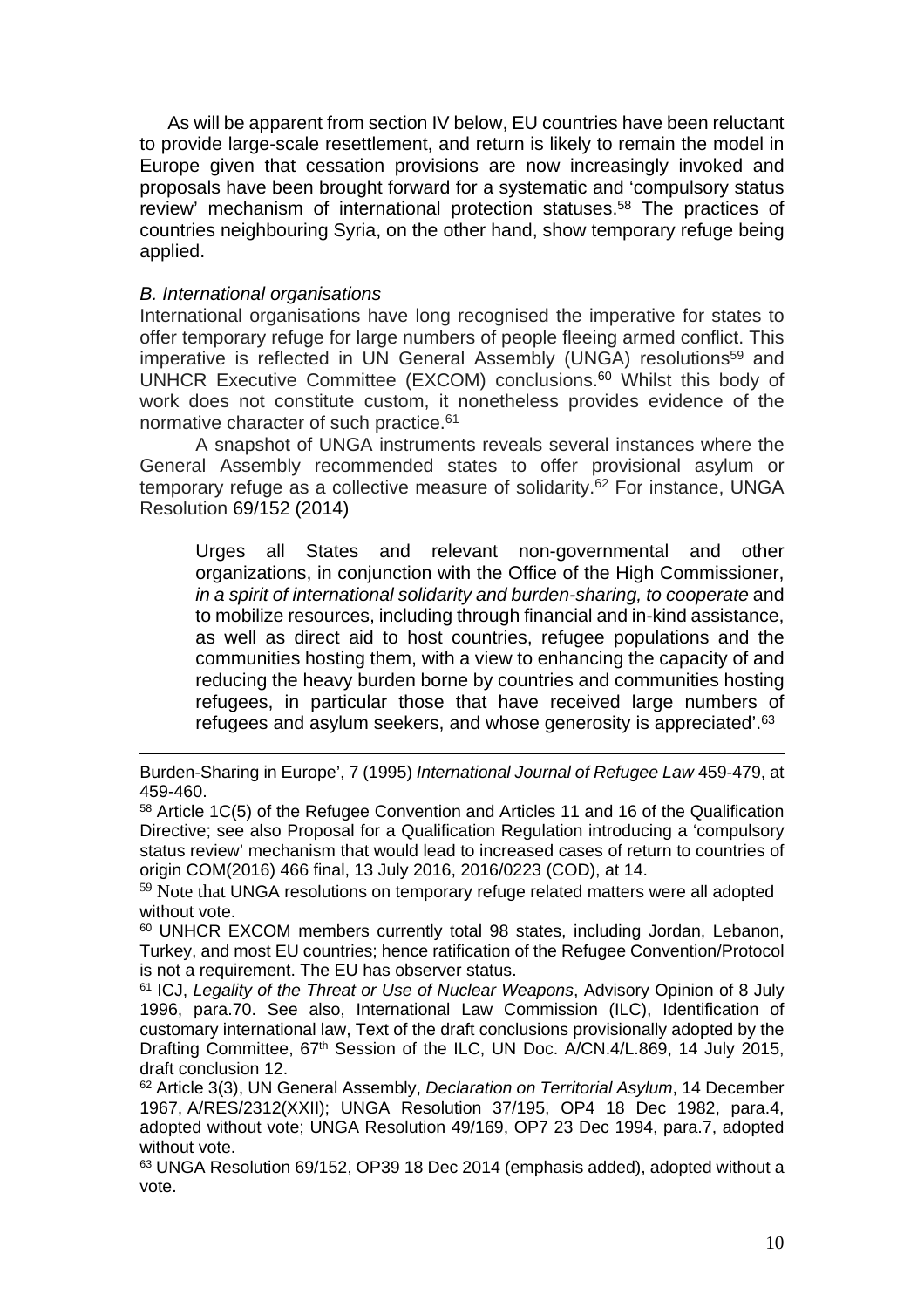As will be apparent from section IV below, EU countries have been reluctant to provide large-scale resettlement, and return is likely to remain the model in Europe given that cessation provisions are now increasingly invoked and proposals have been brought forward for a systematic and 'compulsory status review' mechanism of international protection statuses.<sup>58</sup> The practices of countries neighbouring Syria, on the other hand, show temporary refuge being applied.

## B. International organisations

International organisations have long recognised the imperative for states to offer temporary refuge for large numbers of people fleeing armed conflict. This imperative is reflected in UN General Assembly (UNGA) resolutions<sup>59</sup> and UNHCR Executive Committee (EXCOM) conclusions.<sup>60</sup> Whilst this body of work does not constitute custom, it nonetheless provides evidence of the normative character of such practice.<sup>61</sup>

A snapshot of UNGA instruments reveals several instances where the General Assembly recommended states to offer provisional asylum or temporary refuge as a collective measure of solidarity.<sup>62</sup> For instance, UNGA Resolution 69/152 (2014)

Urges all States and relevant non-governmental and other organizations, in conjunction with the Office of the High Commissioner, in a spirit of international solidarity and burden-sharing, to cooperate and to mobilize resources, including through financial and in-kind assistance, as well as direct aid to host countries, refugee populations and the communities hosting them, with a view to enhancing the capacity of and reducing the heavy burden borne by countries and communities hosting refugees, in particular those that have received large numbers of refugees and asylum seekers, and whose generosity is appreciated'.<sup>63</sup>

Burden-Sharing in Europe', 7 (1995) International Journal of Refugee Law 459-479, at 459-460.

<sup>58</sup> Article 1C(5) of the Refugee Convention and Articles 11 and 16 of the Qualification Directive; see also Proposal for a Qualification Regulation introducing a 'compulsory status review' mechanism that would lead to increased cases of return to countries of origin COM(2016) 466 final, 13 July 2016, 2016/0223 (COD), at 14.

<sup>&</sup>lt;sup>59</sup> Note that UNGA resolutions on temporary refuge related matters were all adopted without vote.

<sup>60</sup> UNHCR EXCOM members currently total 98 states, including Jordan, Lebanon, Turkey, and most EU countries; hence ratification of the Refugee Convention/Protocol is not a requirement. The EU has observer status.

<sup>&</sup>lt;sup>61</sup> ICJ, Legality of the Threat or Use of Nuclear Weapons, Advisory Opinion of 8 July 1996, para.70. See also, International Law Commission (ILC), Identification of customary international law, Text of the draft conclusions provisionally adopted by the Drafting Committee, 67<sup>th</sup> Session of the ILC, UN Doc. A/CN.4/L.869, 14 July 2015, draft conclusion 12.

<sup>&</sup>lt;sup>62</sup> Article 3(3), UN General Assembly, *Declaration on Territorial Asylum*, 14 December 1967, A/RES/2312(XXII); UNGA Resolution 37/195, OP4 18 Dec 1982, para.4, adopted without vote; UNGA Resolution 49/169, OP7 23 Dec 1994, para.7, adopted without vote.

<sup>63</sup> UNGA Resolution 69/152, OP39 18 Dec 2014 (emphasis added), adopted without a vote.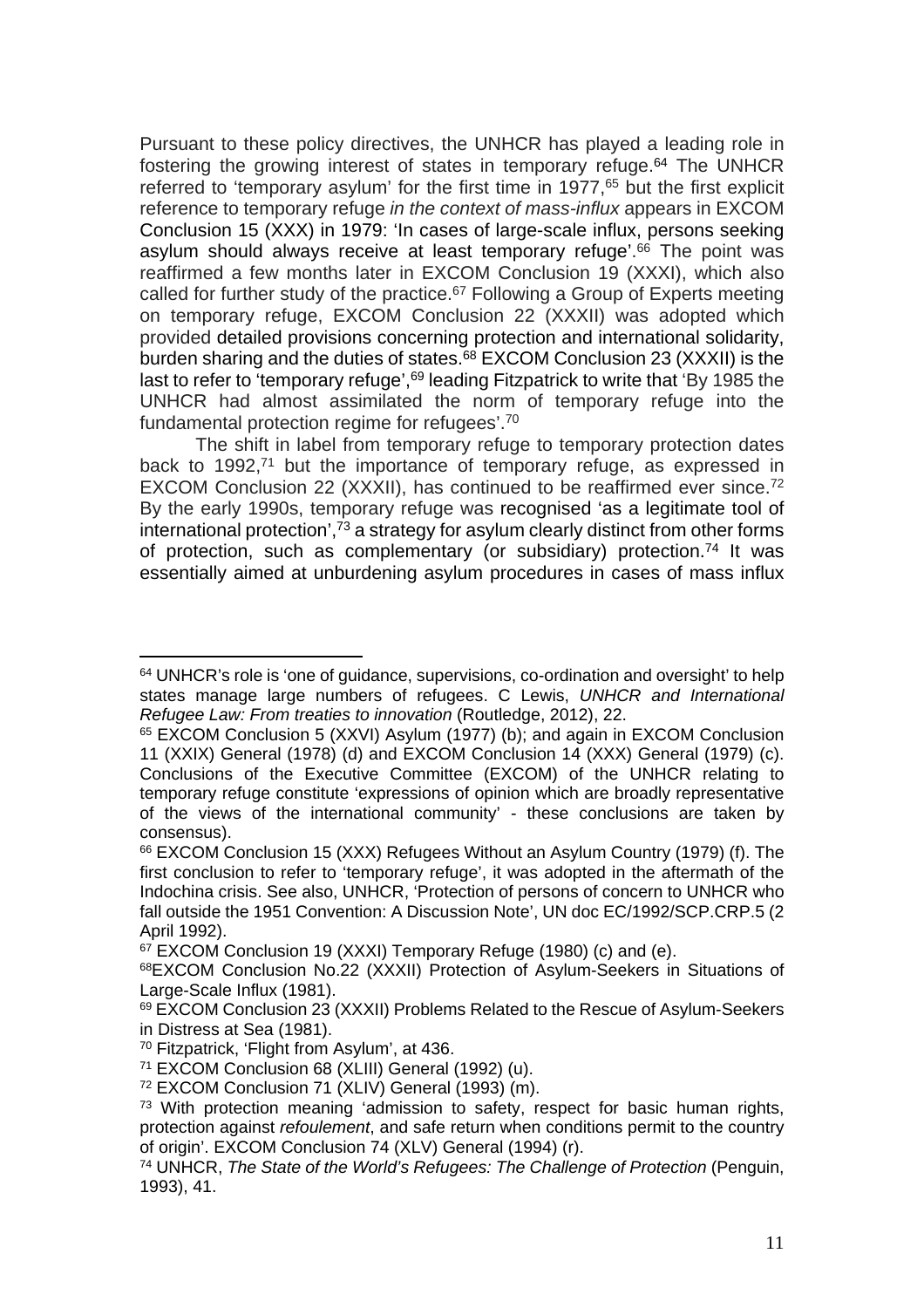Pursuant to these policy directives, the UNHCR has played a leading role in fostering the growing interest of states in temporary refuge.<sup>64</sup> The UNHCR referred to 'temporary asylum' for the first time in 1977,<sup>65</sup> but the first explicit reference to temporary refuge in the context of mass-influx appears in EXCOM Conclusion 15 (XXX) in 1979: 'In cases of large-scale influx, persons seeking asylum should always receive at least temporary refuge'.<sup>66</sup> The point was reaffirmed a few months later in EXCOM Conclusion 19 (XXXI), which also called for further study of the practice.<sup>67</sup> Following a Group of Experts meeting on temporary refuge, EXCOM Conclusion 22 (XXXII) was adopted which provided detailed provisions concerning protection and international solidarity, burden sharing and the duties of states.<sup>68</sup> EXCOM Conclusion 23 (XXXII) is the last to refer to 'temporary refuge',<sup>69</sup> leading Fitzpatrick to write that 'By 1985 the UNHCR had almost assimilated the norm of temporary refuge into the fundamental protection regime for refugees'.<sup>70</sup>

The shift in label from temporary refuge to temporary protection dates back to  $1992$ <sup>71</sup> but the importance of temporary refuge, as expressed in EXCOM Conclusion 22 (XXXII), has continued to be reaffirmed ever since.<sup>72</sup> By the early 1990s, temporary refuge was recognised 'as a legitimate tool of international protection', $\frac{73}{9}$  a strategy for asylum clearly distinct from other forms of protection, such as complementary (or subsidiary) protection.<sup>74</sup> It was essentially aimed at unburdening asylum procedures in cases of mass influx

<sup>&</sup>lt;sup>64</sup> UNHCR's role is 'one of guidance, supervisions, co-ordination and oversight' to help states manage large numbers of refugees. C Lewis, UNHCR and International Refugee Law: From treaties to innovation (Routledge, 2012), 22.

<sup>65</sup> EXCOM Conclusion 5 (XXVI) Asylum (1977) (b); and again in EXCOM Conclusion 11 (XXIX) General (1978) (d) and EXCOM Conclusion 14 (XXX) General (1979) (c). Conclusions of the Executive Committee (EXCOM) of the UNHCR relating to temporary refuge constitute 'expressions of opinion which are broadly representative of the views of the international community' - these conclusions are taken by consensus).

<sup>66</sup> EXCOM Conclusion 15 (XXX) Refugees Without an Asylum Country (1979) (f). The first conclusion to refer to 'temporary refuge', it was adopted in the aftermath of the Indochina crisis. See also, UNHCR, 'Protection of persons of concern to UNHCR who fall outside the 1951 Convention: A Discussion Note', UN doc EC/1992/SCP.CRP.5 (2 April 1992).

<sup>&</sup>lt;sup>67</sup> EXCOM Conclusion 19 (XXXI) Temporary Refuge (1980) (c) and (e).

<sup>68</sup>EXCOM Conclusion No.22 (XXXII) Protection of Asylum-Seekers in Situations of Large-Scale Influx (1981).

<sup>69</sup> EXCOM Conclusion 23 (XXXII) Problems Related to the Rescue of Asylum-Seekers in Distress at Sea (1981).

<sup>70</sup> Fitzpatrick, 'Flight from Asylum', at 436.

<sup>71</sup> EXCOM Conclusion 68 (XLIII) General (1992) (u).

<sup>72</sup> EXCOM Conclusion 71 (XLIV) General (1993) (m).

<sup>&</sup>lt;sup>73</sup> With protection meaning 'admission to safety, respect for basic human rights, protection against refoulement, and safe return when conditions permit to the country of origin'. EXCOM Conclusion 74 (XLV) General (1994) (r).

<sup>74</sup> UNHCR, The State of the World's Refugees: The Challenge of Protection (Penguin, 1993), 41.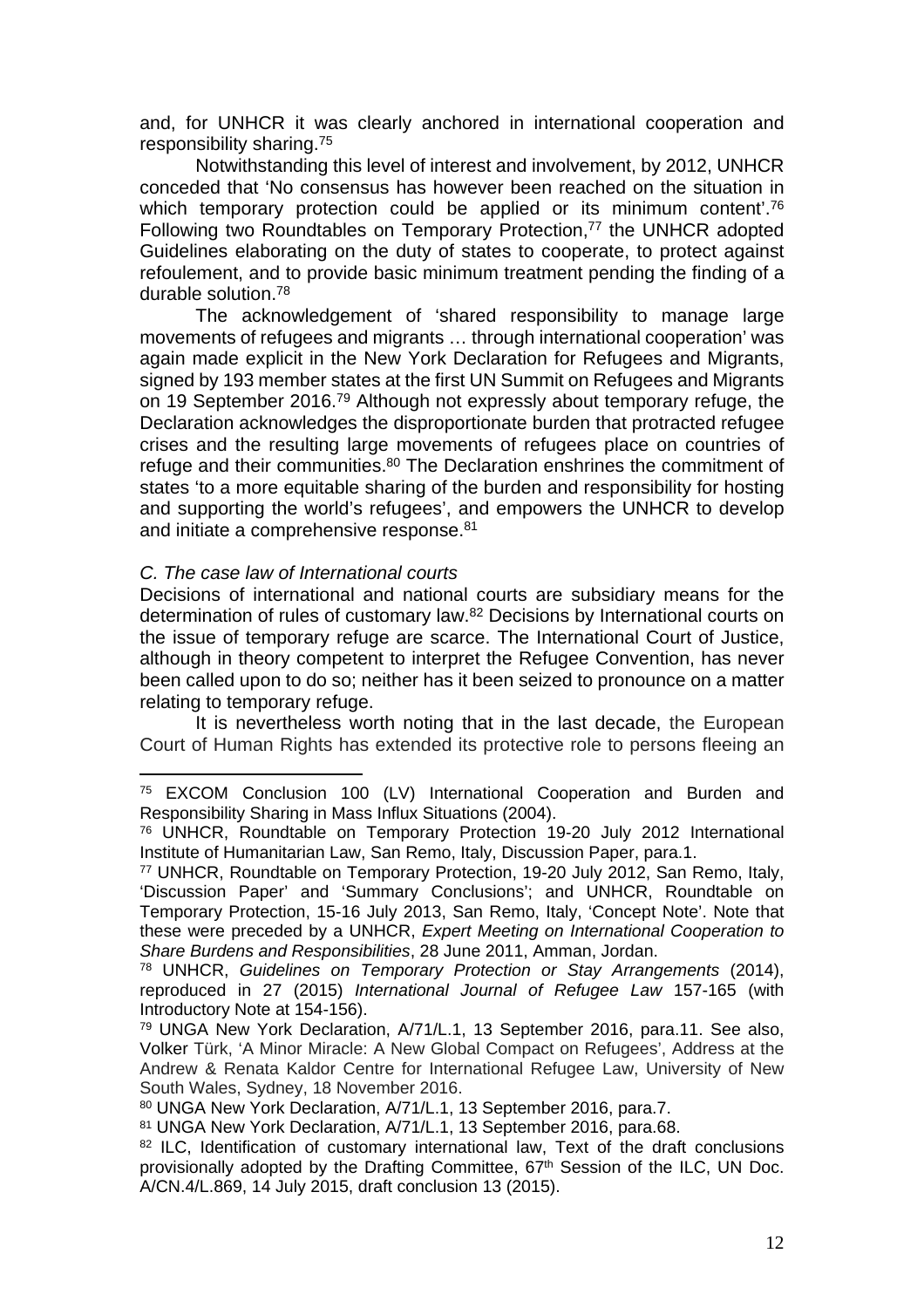and, for UNHCR it was clearly anchored in international cooperation and responsibility sharing.<sup>75</sup>

Notwithstanding this level of interest and involvement, by 2012, UNHCR conceded that 'No consensus has however been reached on the situation in which temporary protection could be applied or its minimum content<sup>'.76</sup> Following two Roundtables on Temporary Protection.<sup>77</sup> the UNHCR adopted Guidelines elaborating on the duty of states to cooperate, to protect against refoulement, and to provide basic minimum treatment pending the finding of a durable solution.<sup>78</sup>

The acknowledgement of 'shared responsibility to manage large movements of refugees and migrants … through international cooperation' was again made explicit in the New York Declaration for Refugees and Migrants, signed by 193 member states at the first UN Summit on Refugees and Migrants on 19 September 2016.<sup>79</sup> Although not expressly about temporary refuge, the Declaration acknowledges the disproportionate burden that protracted refugee crises and the resulting large movements of refugees place on countries of refuge and their communities.<sup>80</sup> The Declaration enshrines the commitment of states 'to a more equitable sharing of the burden and responsibility for hosting and supporting the world's refugees', and empowers the UNHCR to develop and initiate a comprehensive response.<sup>81</sup>

#### C. The case law of International courts

Decisions of international and national courts are subsidiary means for the determination of rules of customary law.<sup>82</sup> Decisions by International courts on the issue of temporary refuge are scarce. The International Court of Justice, although in theory competent to interpret the Refugee Convention, has never been called upon to do so; neither has it been seized to pronounce on a matter relating to temporary refuge.

It is nevertheless worth noting that in the last decade, the European Court of Human Rights has extended its protective role to persons fleeing an

<sup>75</sup> EXCOM Conclusion 100 (LV) International Cooperation and Burden and Responsibility Sharing in Mass Influx Situations (2004).

<sup>76</sup> UNHCR, Roundtable on Temporary Protection 19-20 July 2012 International Institute of Humanitarian Law, San Remo, Italy, Discussion Paper, para.1.

<sup>77</sup> UNHCR, Roundtable on Temporary Protection, 19-20 July 2012, San Remo, Italy, 'Discussion Paper' and 'Summary Conclusions'; and UNHCR, Roundtable on Temporary Protection, 15-16 July 2013, San Remo, Italy, 'Concept Note'. Note that these were preceded by a UNHCR, Expert Meeting on International Cooperation to Share Burdens and Responsibilities, 28 June 2011, Amman, Jordan.

<sup>78</sup> UNHCR, Guidelines on Temporary Protection or Stay Arrangements (2014), reproduced in 27 (2015) International Journal of Refugee Law 157-165 (with Introductory Note at 154-156).

<sup>79</sup> UNGA New York Declaration, A/71/L.1, 13 September 2016, para.11. See also, Volker Türk, 'A Minor Miracle: A New Global Compact on Refugees', Address at the Andrew & Renata Kaldor Centre for International Refugee Law, University of New South Wales, Sydney, 18 November 2016.

<sup>80</sup> UNGA New York Declaration, A/71/L.1, 13 September 2016, para.7.

<sup>81</sup> UNGA New York Declaration, A/71/L.1, 13 September 2016, para.68.

<sup>&</sup>lt;sup>82</sup> ILC, Identification of customary international law, Text of the draft conclusions provisionally adopted by the Drafting Committee, 67<sup>th</sup> Session of the ILC, UN Doc. A/CN.4/L.869, 14 July 2015, draft conclusion 13 (2015).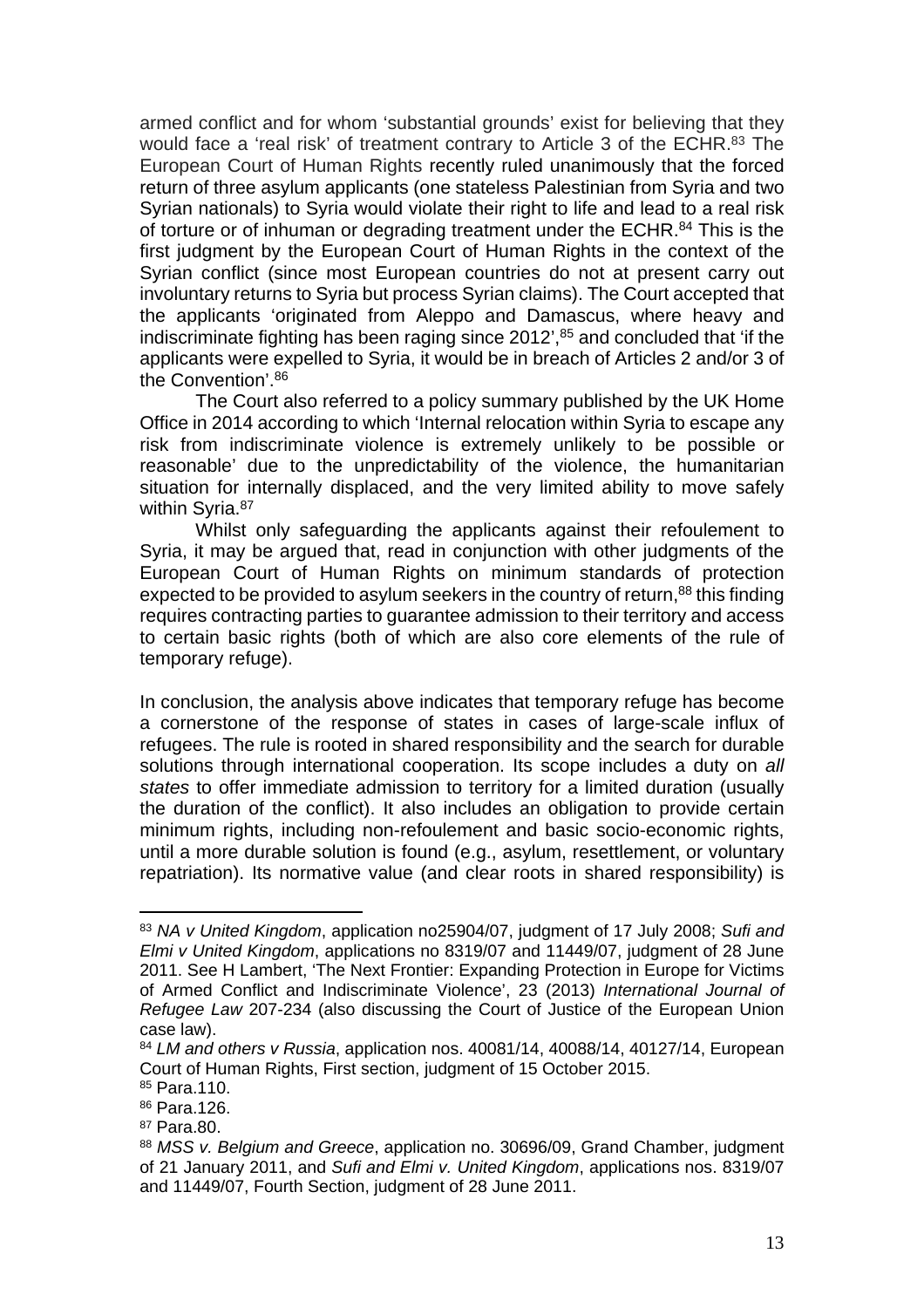armed conflict and for whom 'substantial grounds' exist for believing that they would face a 'real risk' of treatment contrary to Article 3 of the ECHR.<sup>83</sup> The European Court of Human Rights recently ruled unanimously that the forced return of three asylum applicants (one stateless Palestinian from Syria and two Syrian nationals) to Syria would violate their right to life and lead to a real risk of torture or of inhuman or degrading treatment under the ECHR.<sup>84</sup> This is the first judgment by the European Court of Human Rights in the context of the Syrian conflict (since most European countries do not at present carry out involuntary returns to Syria but process Syrian claims). The Court accepted that the applicants 'originated from Aleppo and Damascus, where heavy and indiscriminate fighting has been raging since 2012',<sup>85</sup> and concluded that 'if the applicants were expelled to Syria, it would be in breach of Articles 2 and/or 3 of the Convention'.<sup>86</sup>

The Court also referred to a policy summary published by the UK Home Office in 2014 according to which 'Internal relocation within Syria to escape any risk from indiscriminate violence is extremely unlikely to be possible or reasonable' due to the unpredictability of the violence, the humanitarian situation for internally displaced, and the very limited ability to move safely within Syria.<sup>87</sup>

Whilst only safeguarding the applicants against their refoulement to Syria, it may be argued that, read in conjunction with other judgments of the European Court of Human Rights on minimum standards of protection expected to be provided to asylum seekers in the country of return,<sup>88</sup> this finding requires contracting parties to guarantee admission to their territory and access to certain basic rights (both of which are also core elements of the rule of temporary refuge).

In conclusion, the analysis above indicates that temporary refuge has become a cornerstone of the response of states in cases of large-scale influx of refugees. The rule is rooted in shared responsibility and the search for durable solutions through international cooperation. Its scope includes a duty on all states to offer immediate admission to territory for a limited duration (usually the duration of the conflict). It also includes an obligation to provide certain minimum rights, including non-refoulement and basic socio-economic rights, until a more durable solution is found (e.g., asylum, resettlement, or voluntary repatriation). Its normative value (and clear roots in shared responsibility) is

<sup>83</sup> NA v United Kingdom, application no25904/07, judgment of 17 July 2008; Sufi and Elmi v United Kingdom, applications no 8319/07 and 11449/07, judgment of 28 June 2011. See H Lambert, 'The Next Frontier: Expanding Protection in Europe for Victims of Armed Conflict and Indiscriminate Violence', 23 (2013) International Journal of Refugee Law 207-234 (also discussing the Court of Justice of the European Union case law).

<sup>84</sup> LM and others v Russia, application nos. 40081/14, 40088/14, 40127/14, European Court of Human Rights, First section, judgment of 15 October 2015.

<sup>85</sup> Para.110.

<sup>86</sup> Para.126.

<sup>87</sup> Para.80.

<sup>88</sup> MSS v. Belgium and Greece, application no. 30696/09, Grand Chamber, judgment of 21 January 2011, and Sufi and Elmi v. United Kingdom, applications nos. 8319/07 and 11449/07, Fourth Section, judgment of 28 June 2011.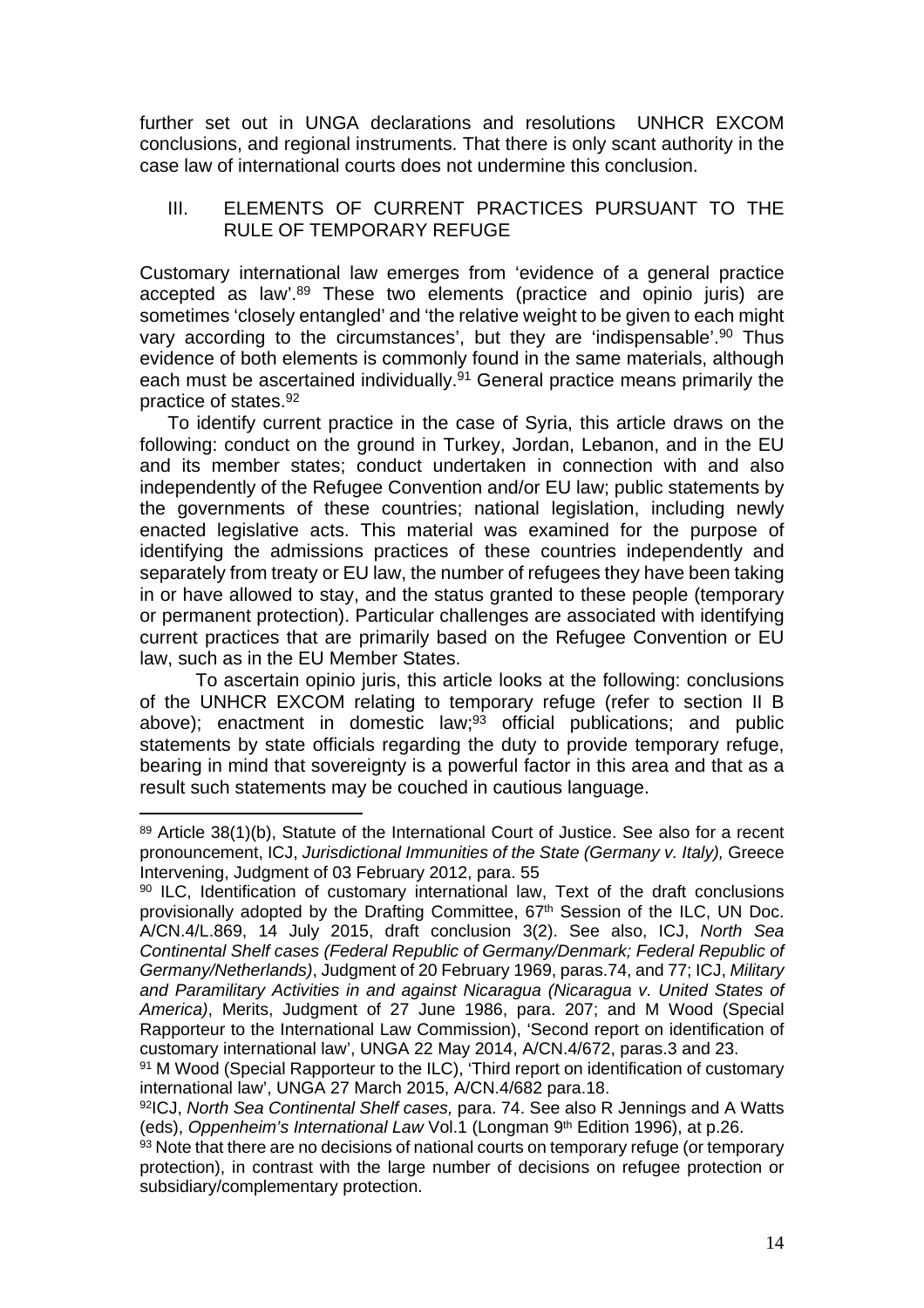further set out in UNGA declarations and resolutions UNHCR EXCOM conclusions, and regional instruments. That there is only scant authority in the case law of international courts does not undermine this conclusion.

## III. ELEMENTS OF CURRENT PRACTICES PURSUANT TO THE RULE OF TEMPORARY REFUGE

Customary international law emerges from 'evidence of a general practice accepted as law'.<sup>89</sup> These two elements (practice and opinio juris) are sometimes 'closely entangled' and 'the relative weight to be given to each might vary according to the circumstances', but they are 'indispensable'.<sup>90</sup> Thus evidence of both elements is commonly found in the same materials, although each must be ascertained individually.<sup>91</sup> General practice means primarily the practice of states.<sup>92</sup>

To identify current practice in the case of Syria, this article draws on the following: conduct on the ground in Turkey, Jordan, Lebanon, and in the EU and its member states; conduct undertaken in connection with and also independently of the Refugee Convention and/or EU law; public statements by the governments of these countries; national legislation, including newly enacted legislative acts. This material was examined for the purpose of identifying the admissions practices of these countries independently and separately from treaty or EU law, the number of refugees they have been taking in or have allowed to stay, and the status granted to these people (temporary or permanent protection). Particular challenges are associated with identifying current practices that are primarily based on the Refugee Convention or EU law, such as in the EU Member States.

To ascertain opinio juris, this article looks at the following: conclusions of the UNHCR EXCOM relating to temporary refuge (refer to section II B above); enactment in domestic law;<sup>93</sup> official publications; and public statements by state officials regarding the duty to provide temporary refuge, bearing in mind that sovereignty is a powerful factor in this area and that as a result such statements may be couched in cautious language.

<sup>89</sup> Article 38(1)(b), Statute of the International Court of Justice. See also for a recent pronouncement, ICJ, Jurisdictional Immunities of the State (Germany v. Italy), Greece Intervening, Judgment of 03 February 2012, para. 55

<sup>90</sup> ILC, Identification of customary international law, Text of the draft conclusions provisionally adopted by the Drafting Committee, 67<sup>th</sup> Session of the ILC, UN Doc. A/CN.4/L.869, 14 July 2015, draft conclusion 3(2). See also, ICJ, North Sea Continental Shelf cases (Federal Republic of Germany/Denmark; Federal Republic of Germany/Netherlands), Judgment of 20 February 1969, paras.74, and 77; ICJ, Military and Paramilitary Activities in and against Nicaragua (Nicaragua v. United States of America), Merits, Judgment of 27 June 1986, para. 207; and M Wood (Special Rapporteur to the International Law Commission), 'Second report on identification of customary international law', UNGA 22 May 2014, A/CN.4/672, paras.3 and 23.

<sup>91</sup> M Wood (Special Rapporteur to the ILC), 'Third report on identification of customary international law', UNGA 27 March 2015, A/CN.4/682 para.18.

<sup>92</sup>ICJ, North Sea Continental Shelf cases, para. 74. See also R Jennings and A Watts (eds), Oppenheim's International Law Vol.1 (Longman 9<sup>th</sup> Edition 1996), at p.26.

<sup>93</sup> Note that there are no decisions of national courts on temporary refuge (or temporary protection), in contrast with the large number of decisions on refugee protection or subsidiary/complementary protection.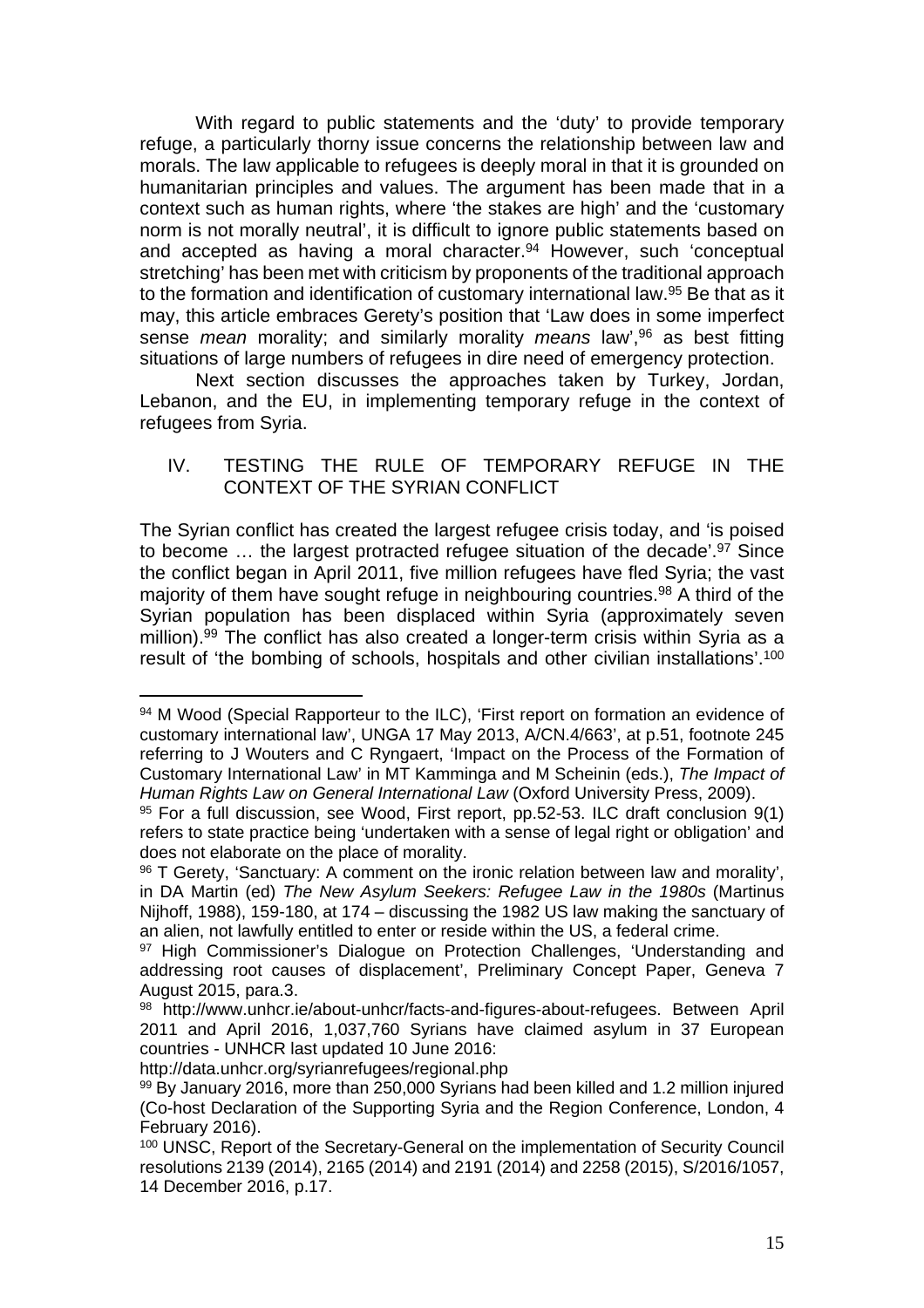With regard to public statements and the 'duty' to provide temporary refuge, a particularly thorny issue concerns the relationship between law and morals. The law applicable to refugees is deeply moral in that it is grounded on humanitarian principles and values. The argument has been made that in a context such as human rights, where 'the stakes are high' and the 'customary norm is not morally neutral', it is difficult to ignore public statements based on and accepted as having a moral character.<sup>94</sup> However, such 'conceptual stretching' has been met with criticism by proponents of the traditional approach to the formation and identification of customary international law.<sup>95</sup> Be that as it may, this article embraces Gerety's position that 'Law does in some imperfect sense mean morality; and similarly morality means law',<sup>96</sup> as best fitting situations of large numbers of refugees in dire need of emergency protection.

Next section discusses the approaches taken by Turkey, Jordan, Lebanon, and the EU, in implementing temporary refuge in the context of refugees from Syria.

## IV. TESTING THE RULE OF TEMPORARY REFUGE IN THE CONTEXT OF THE SYRIAN CONFLICT

The Syrian conflict has created the largest refugee crisis today, and 'is poised to become ... the largest protracted refugee situation of the decade'.<sup>97</sup> Since the conflict began in April 2011, five million refugees have fled Syria; the vast majority of them have sought refuge in neighbouring countries.<sup>98</sup> A third of the Syrian population has been displaced within Syria (approximately seven million).<sup>99</sup> The conflict has also created a longer-term crisis within Syria as a result of 'the bombing of schools, hospitals and other civilian installations'.<sup>100</sup>

http://data.unhcr.org/syrianrefugees/regional.php

<sup>94</sup> M Wood (Special Rapporteur to the ILC), 'First report on formation an evidence of customary international law', UNGA 17 May 2013, A/CN.4/663', at p.51, footnote 245 referring to J Wouters and C Ryngaert, 'Impact on the Process of the Formation of Customary International Law' in MT Kamminga and M Scheinin (eds.), The Impact of Human Rights Law on General International Law (Oxford University Press, 2009).

<sup>95</sup> For a full discussion, see Wood, First report, pp.52-53. ILC draft conclusion 9(1) refers to state practice being 'undertaken with a sense of legal right or obligation' and does not elaborate on the place of morality.

<sup>96</sup> T Gerety, 'Sanctuary: A comment on the ironic relation between law and morality', in DA Martin (ed) The New Asylum Seekers: Refugee Law in the 1980s (Martinus Nijhoff, 1988), 159-180, at 174 – discussing the 1982 US law making the sanctuary of an alien, not lawfully entitled to enter or reside within the US, a federal crime.

<sup>97</sup> High Commissioner's Dialogue on Protection Challenges, 'Understanding and addressing root causes of displacement', Preliminary Concept Paper, Geneva 7 August 2015, para.3.

<sup>98</sup> http://www.unhcr.ie/about-unhcr/facts-and-figures-about-refugees. Between April 2011 and April 2016, 1,037,760 Syrians have claimed asylum in 37 European countries - UNHCR last updated 10 June 2016:

<sup>99</sup> By January 2016, more than 250,000 Syrians had been killed and 1.2 million injured (Co-host Declaration of the Supporting Syria and the Region Conference, London, 4 February 2016).

<sup>100</sup> UNSC, Report of the Secretary-General on the implementation of Security Council resolutions 2139 (2014), 2165 (2014) and 2191 (2014) and 2258 (2015), S/2016/1057, 14 December 2016, p.17.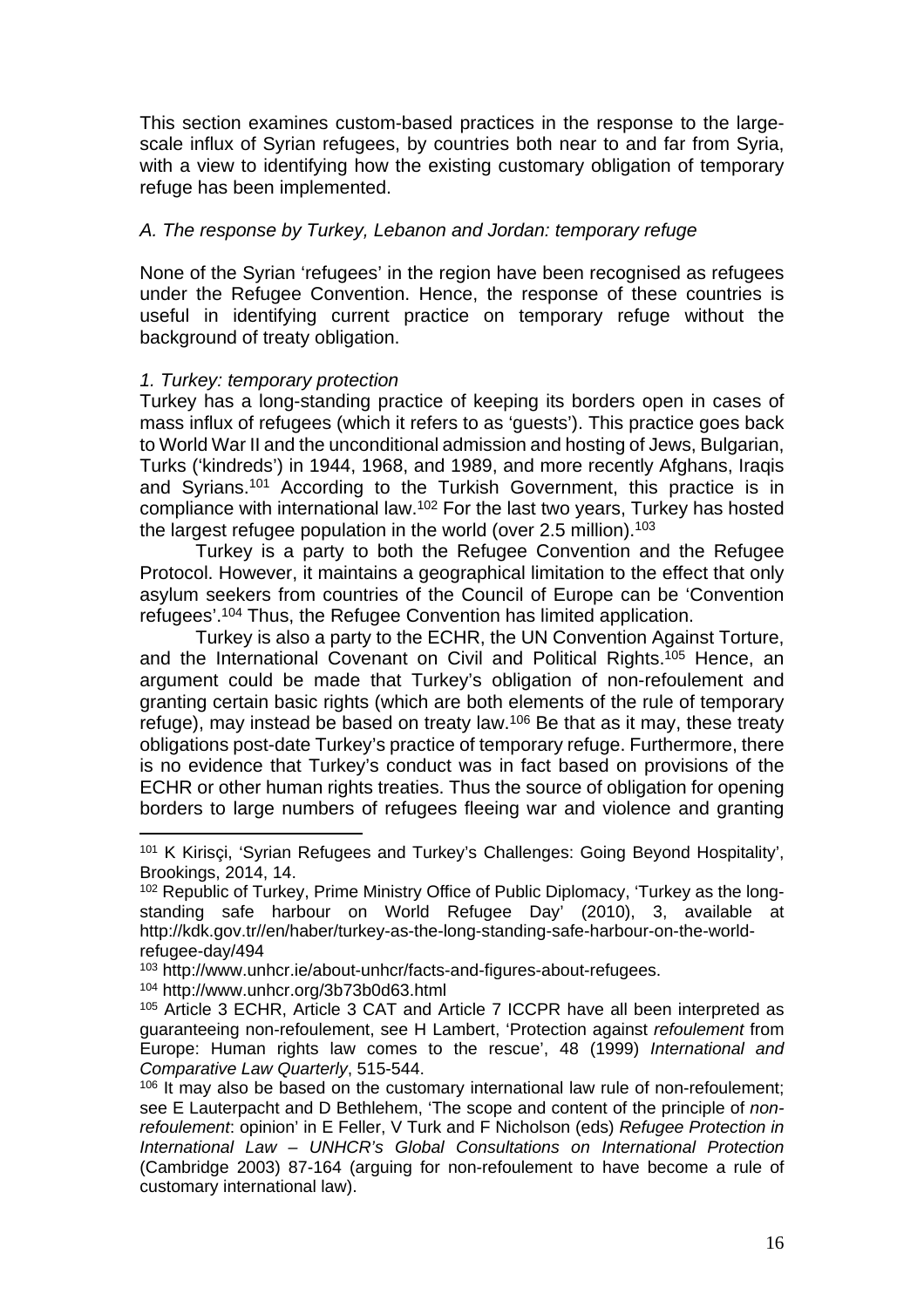This section examines custom-based practices in the response to the largescale influx of Syrian refugees, by countries both near to and far from Syria, with a view to identifying how the existing customary obligation of temporary refuge has been implemented.

## A. The response by Turkey, Lebanon and Jordan: temporary refuge

None of the Syrian 'refugees' in the region have been recognised as refugees under the Refugee Convention. Hence, the response of these countries is useful in identifying current practice on temporary refuge without the background of treaty obligation.

## 1. Turkey: temporary protection

Turkey has a long-standing practice of keeping its borders open in cases of mass influx of refugees (which it refers to as 'guests'). This practice goes back to World War II and the unconditional admission and hosting of Jews, Bulgarian, Turks ('kindreds') in 1944, 1968, and 1989, and more recently Afghans, Iraqis and Syrians.<sup>101</sup> According to the Turkish Government, this practice is in compliance with international law.<sup>102</sup> For the last two years, Turkey has hosted the largest refugee population in the world (over 2.5 million).<sup>103</sup>

Turkey is a party to both the Refugee Convention and the Refugee Protocol. However, it maintains a geographical limitation to the effect that only asylum seekers from countries of the Council of Europe can be 'Convention refugees'.<sup>104</sup> Thus, the Refugee Convention has limited application.

Turkey is also a party to the ECHR, the UN Convention Against Torture, and the International Covenant on Civil and Political Rights.<sup>105</sup> Hence, an argument could be made that Turkey's obligation of non-refoulement and granting certain basic rights (which are both elements of the rule of temporary refuge), may instead be based on treaty law.<sup>106</sup> Be that as it may, these treaty obligations post-date Turkey's practice of temporary refuge. Furthermore, there is no evidence that Turkey's conduct was in fact based on provisions of the ECHR or other human rights treaties. Thus the source of obligation for opening borders to large numbers of refugees fleeing war and violence and granting

<sup>104</sup> http://www.unhcr.org/3b73b0d63.html

<sup>101</sup> K Kirisçi, 'Syrian Refugees and Turkey's Challenges: Going Beyond Hospitality', Brookings, 2014, 14.

<sup>&</sup>lt;sup>102</sup> Republic of Turkey, Prime Ministry Office of Public Diplomacy, 'Turkey as the longstanding safe harbour on World Refugee Day' (2010), 3, available at http://kdk.gov.tr//en/haber/turkey-as-the-long-standing-safe-harbour-on-the-worldrefugee-day/494

<sup>103</sup> http://www.unhcr.ie/about-unhcr/facts-and-figures-about-refugees.

<sup>105</sup> Article 3 ECHR, Article 3 CAT and Article 7 ICCPR have all been interpreted as guaranteeing non-refoulement, see H Lambert, 'Protection against refoulement from Europe: Human rights law comes to the rescue', 48 (1999) International and Comparative Law Quarterly, 515-544.

<sup>&</sup>lt;sup>106</sup> It may also be based on the customary international law rule of non-refoulement; see E Lauterpacht and D Bethlehem, 'The scope and content of the principle of nonrefoulement: opinion' in E Feller, V Turk and F Nicholson (eds) Refugee Protection in International Law – UNHCR's Global Consultations on International Protection (Cambridge 2003) 87-164 (arguing for non-refoulement to have become a rule of customary international law).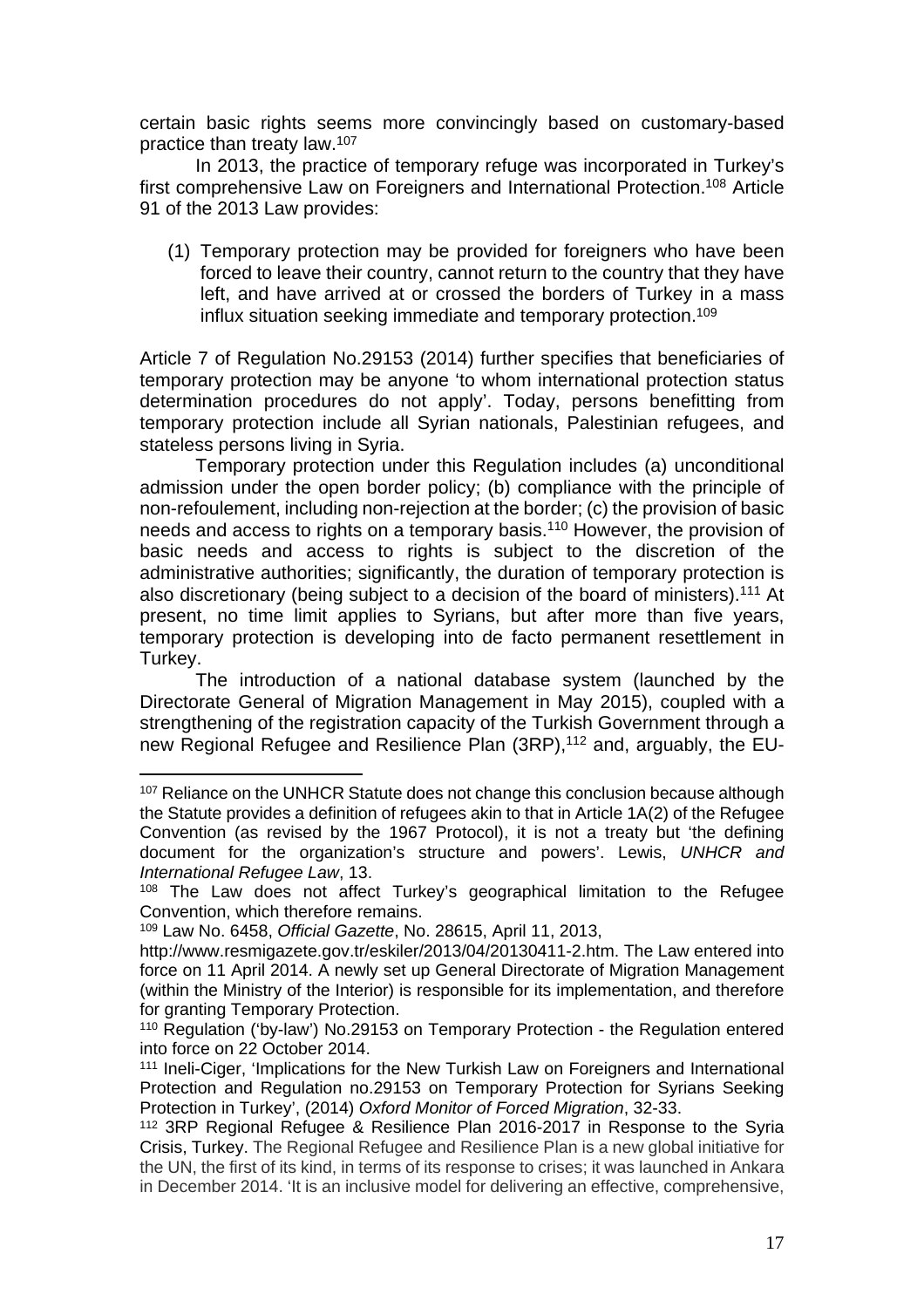certain basic rights seems more convincingly based on customary-based practice than treaty law.<sup>107</sup>

In 2013, the practice of temporary refuge was incorporated in Turkey's first comprehensive Law on Foreigners and International Protection.<sup>108</sup> Article 91 of the 2013 Law provides:

(1) Temporary protection may be provided for foreigners who have been forced to leave their country, cannot return to the country that they have left, and have arrived at or crossed the borders of Turkey in a mass influx situation seeking immediate and temporary protection.<sup>109</sup>

Article 7 of Regulation No.29153 (2014) further specifies that beneficiaries of temporary protection may be anyone 'to whom international protection status determination procedures do not apply'. Today, persons benefitting from temporary protection include all Syrian nationals, Palestinian refugees, and stateless persons living in Syria.

Temporary protection under this Regulation includes (a) unconditional admission under the open border policy; (b) compliance with the principle of non-refoulement, including non-rejection at the border; (c) the provision of basic needs and access to rights on a temporary basis.<sup>110</sup> However, the provision of basic needs and access to rights is subject to the discretion of the administrative authorities; significantly, the duration of temporary protection is also discretionary (being subject to a decision of the board of ministers).<sup>111</sup> At present, no time limit applies to Syrians, but after more than five years, temporary protection is developing into de facto permanent resettlement in Turkey.

The introduction of a national database system (launched by the Directorate General of Migration Management in May 2015), coupled with a strengthening of the registration capacity of the Turkish Government through a new Regional Refugee and Resilience Plan (3RP),112 and, arguably, the EU-

<sup>&</sup>lt;sup>107</sup> Reliance on the UNHCR Statute does not change this conclusion because although the Statute provides a definition of refugees akin to that in Article 1A(2) of the Refugee Convention (as revised by the 1967 Protocol), it is not a treaty but 'the defining document for the organization's structure and powers'. Lewis, UNHCR and International Refugee Law, 13.

<sup>&</sup>lt;sup>108</sup> The Law does not affect Turkey's geographical limitation to the Refugee Convention, which therefore remains.

<sup>109</sup> Law No. 6458, Official Gazette, No. 28615, April 11, 2013,

http://www.resmigazete.gov.tr/eskiler/2013/04/20130411-2.htm. The Law entered into force on 11 April 2014. A newly set up General Directorate of Migration Management (within the Ministry of the Interior) is responsible for its implementation, and therefore for granting Temporary Protection.

<sup>110</sup> Regulation ('by-law') No.29153 on Temporary Protection - the Regulation entered into force on 22 October 2014.

<sup>111</sup> Ineli-Ciger, 'Implications for the New Turkish Law on Foreigners and International Protection and Regulation no.29153 on Temporary Protection for Syrians Seeking Protection in Turkey', (2014) Oxford Monitor of Forced Migration, 32-33.

<sup>112</sup> 3RP Regional Refugee & Resilience Plan 2016-2017 in Response to the Syria Crisis, Turkey. The Regional Refugee and Resilience Plan is a new global initiative for the UN, the first of its kind, in terms of its response to crises; it was launched in Ankara in December 2014. 'It is an inclusive model for delivering an effective, comprehensive,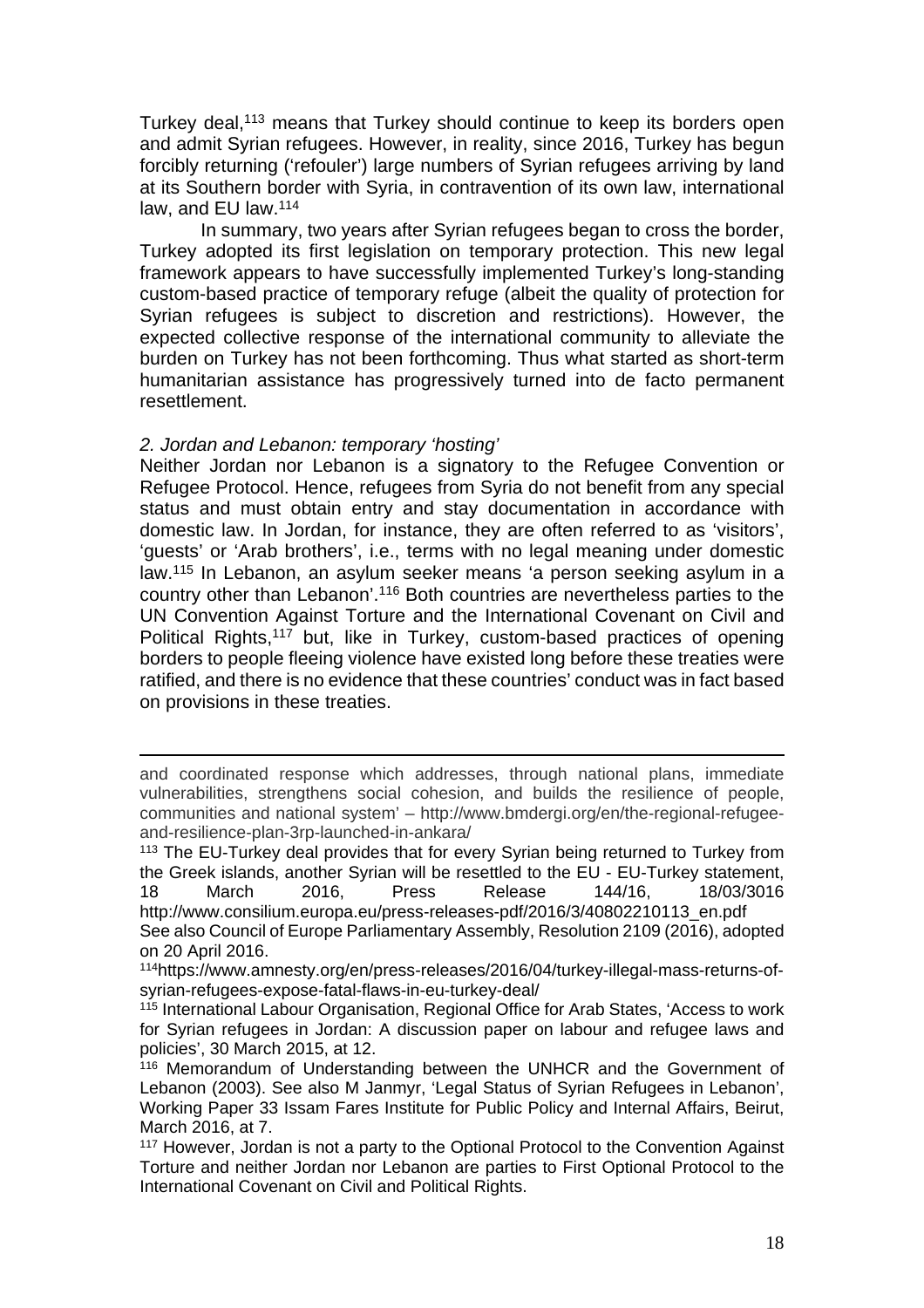Turkey deal,<sup>113</sup> means that Turkey should continue to keep its borders open and admit Syrian refugees. However, in reality, since 2016, Turkey has begun forcibly returning ('refouler') large numbers of Syrian refugees arriving by land at its Southern border with Syria, in contravention of its own law, international law, and EU law.<sup>114</sup>

 In summary, two years after Syrian refugees began to cross the border, Turkey adopted its first legislation on temporary protection. This new legal framework appears to have successfully implemented Turkey's long-standing custom-based practice of temporary refuge (albeit the quality of protection for Syrian refugees is subject to discretion and restrictions). However, the expected collective response of the international community to alleviate the burden on Turkey has not been forthcoming. Thus what started as short-term humanitarian assistance has progressively turned into de facto permanent resettlement.

#### 2. Jordan and Lebanon: temporary 'hosting'

Neither Jordan nor Lebanon is a signatory to the Refugee Convention or Refugee Protocol. Hence, refugees from Syria do not benefit from any special status and must obtain entry and stay documentation in accordance with domestic law. In Jordan, for instance, they are often referred to as 'visitors', 'guests' or 'Arab brothers', i.e., terms with no legal meaning under domestic law.<sup>115</sup> In Lebanon, an asylum seeker means 'a person seeking asylum in a country other than Lebanon'.<sup>116</sup> Both countries are nevertheless parties to the UN Convention Against Torture and the International Covenant on Civil and Political Rights,<sup>117</sup> but, like in Turkey, custom-based practices of opening borders to people fleeing violence have existed long before these treaties were ratified, and there is no evidence that these countries' conduct was in fact based on provisions in these treaties.

and coordinated response which addresses, through national plans, immediate vulnerabilities, strengthens social cohesion, and builds the resilience of people, communities and national system' – http://www.bmdergi.org/en/the-regional-refugeeand-resilience-plan-3rp-launched-in-ankara/

<sup>&</sup>lt;sup>113</sup> The EU-Turkey deal provides that for every Syrian being returned to Turkey from the Greek islands, another Syrian will be resettled to the EU - EU-Turkey statement, 18 March 2016, Press Release 144/16, 18/03/3016 [http://www.consilium.europa.eu/press-releases-pdf/2016/3/40802210113\\_en.pdf](http://www.consilium.europa.eu/press-releases-pdf/2016/3/40802210113_en.pdf)

See also Council of Europe Parliamentary Assembly, Resolution 2109 (2016), adopted on 20 April 2016.

<sup>114</sup>https://www.amnesty.org/en/press-releases/2016/04/turkey-illegal-mass-returns-ofsyrian-refugees-expose-fatal-flaws-in-eu-turkey-deal/

<sup>115</sup> International Labour Organisation, Regional Office for Arab States, 'Access to work for Syrian refugees in Jordan: A discussion paper on labour and refugee laws and policies', 30 March 2015, at 12.

<sup>&</sup>lt;sup>116</sup> Memorandum of Understanding between the UNHCR and the Government of Lebanon (2003). See also M Janmyr, 'Legal Status of Syrian Refugees in Lebanon', Working Paper 33 Issam Fares Institute for Public Policy and Internal Affairs, Beirut, March 2016, at 7.

<sup>117</sup> However, Jordan is not a party to the Optional Protocol to the Convention Against Torture and neither Jordan nor Lebanon are parties to First Optional Protocol to the International Covenant on Civil and Political Rights.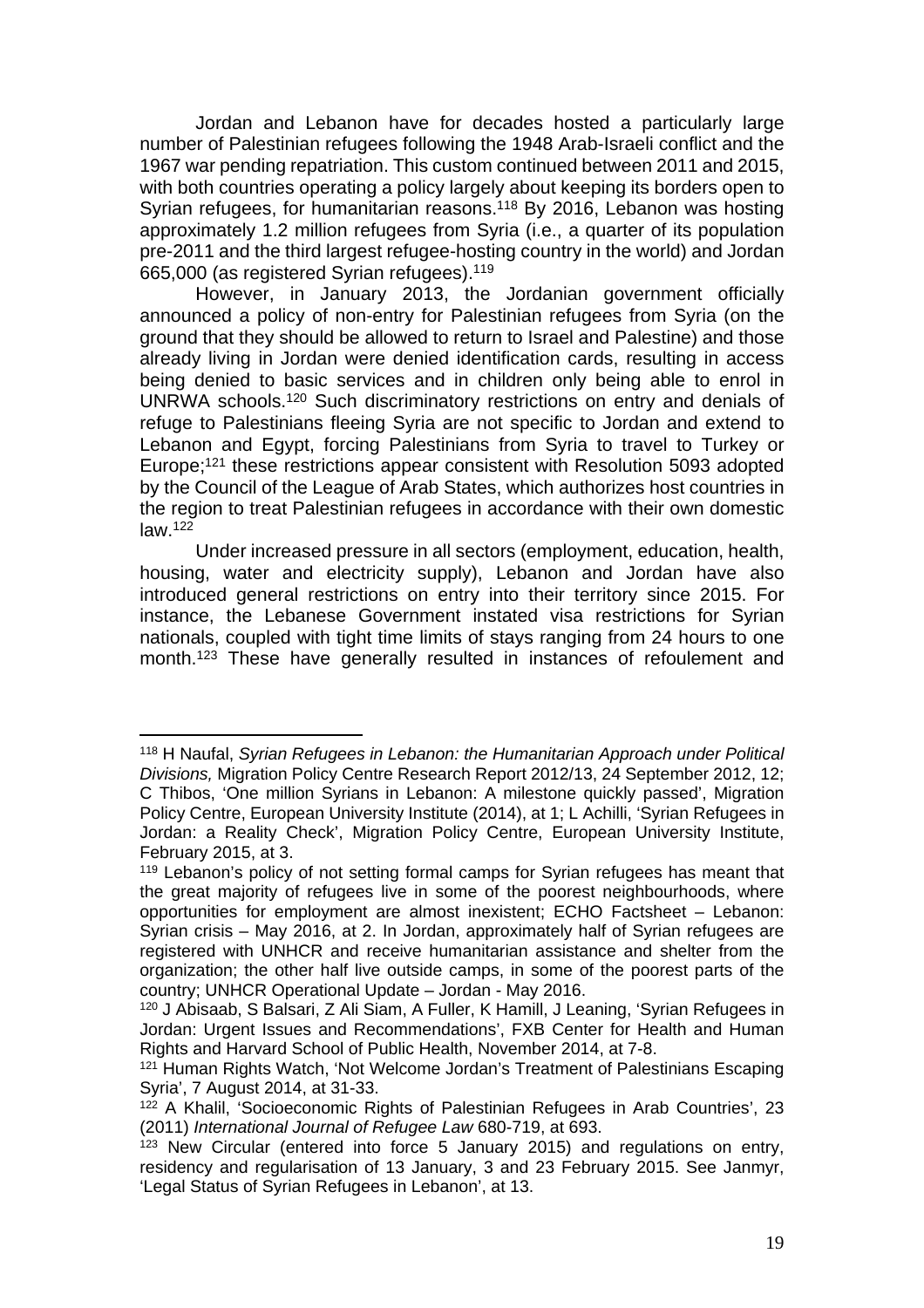Jordan and Lebanon have for decades hosted a particularly large number of Palestinian refugees following the 1948 Arab-Israeli conflict and the 1967 war pending repatriation. This custom continued between 2011 and 2015, with both countries operating a policy largely about keeping its borders open to Syrian refugees, for humanitarian reasons.<sup>118</sup> By 2016, Lebanon was hosting approximately 1.2 million refugees from Syria (i.e., a quarter of its population pre-2011 and the third largest refugee-hosting country in the world) and Jordan 665,000 (as registered Syrian refugees).<sup>119</sup>

However, in January 2013, the Jordanian government officially announced a policy of non-entry for Palestinian refugees from Syria (on the ground that they should be allowed to return to Israel and Palestine) and those already living in Jordan were denied identification cards, resulting in access being denied to basic services and in children only being able to enrol in UNRWA schools.<sup>120</sup> Such discriminatory restrictions on entry and denials of refuge to Palestinians fleeing Syria are not specific to Jordan and extend to Lebanon and Egypt, forcing Palestinians from Syria to travel to Turkey or Europe;<sup>121</sup> these restrictions appear consistent with Resolution 5093 adopted by the Council of the League of Arab States, which authorizes host countries in the region to treat Palestinian refugees in accordance with their own domestic law.<sup>122</sup>

Under increased pressure in all sectors (employment, education, health, housing, water and electricity supply), Lebanon and Jordan have also introduced general restrictions on entry into their territory since 2015. For instance, the Lebanese Government instated visa restrictions for Syrian nationals, coupled with tight time limits of stays ranging from 24 hours to one month.<sup>123</sup> These have generally resulted in instances of refoulement and

<sup>118</sup> H Naufal, Syrian Refugees in Lebanon: the Humanitarian Approach under Political Divisions, Migration Policy Centre Research Report 2012/13, 24 September 2012, 12; C Thibos, 'One million Syrians in Lebanon: A milestone quickly passed', Migration Policy Centre, European University Institute (2014), at 1; L Achilli, 'Syrian Refugees in Jordan: a Reality Check', Migration Policy Centre, European University Institute, February 2015, at 3.

<sup>&</sup>lt;sup>119</sup> Lebanon's policy of not setting formal camps for Syrian refugees has meant that the great majority of refugees live in some of the poorest neighbourhoods, where opportunities for employment are almost inexistent; ECHO Factsheet – Lebanon: Syrian crisis – May 2016, at 2. In Jordan, approximately half of Syrian refugees are registered with UNHCR and receive humanitarian assistance and shelter from the organization; the other half live outside camps, in some of the poorest parts of the country; UNHCR Operational Update – Jordan - May 2016.

<sup>120</sup> J Abisaab, S Balsari, Z Ali Siam, A Fuller, K Hamill, J Leaning, 'Syrian Refugees in Jordan: Urgent Issues and Recommendations', FXB Center for Health and Human Rights and Harvard School of Public Health, November 2014, at 7-8.

<sup>121</sup> Human Rights Watch, 'Not Welcome Jordan's Treatment of Palestinians Escaping Syria', 7 August 2014, at 31-33.

<sup>&</sup>lt;sup>122</sup> A Khalil, 'Socioeconomic Rights of Palestinian Refugees in Arab Countries', 23 (2011) International Journal of Refugee Law 680-719, at 693.

<sup>123</sup> New Circular (entered into force 5 January 2015) and regulations on entry, residency and regularisation of 13 January, 3 and 23 February 2015. See Janmyr, 'Legal Status of Syrian Refugees in Lebanon', at 13.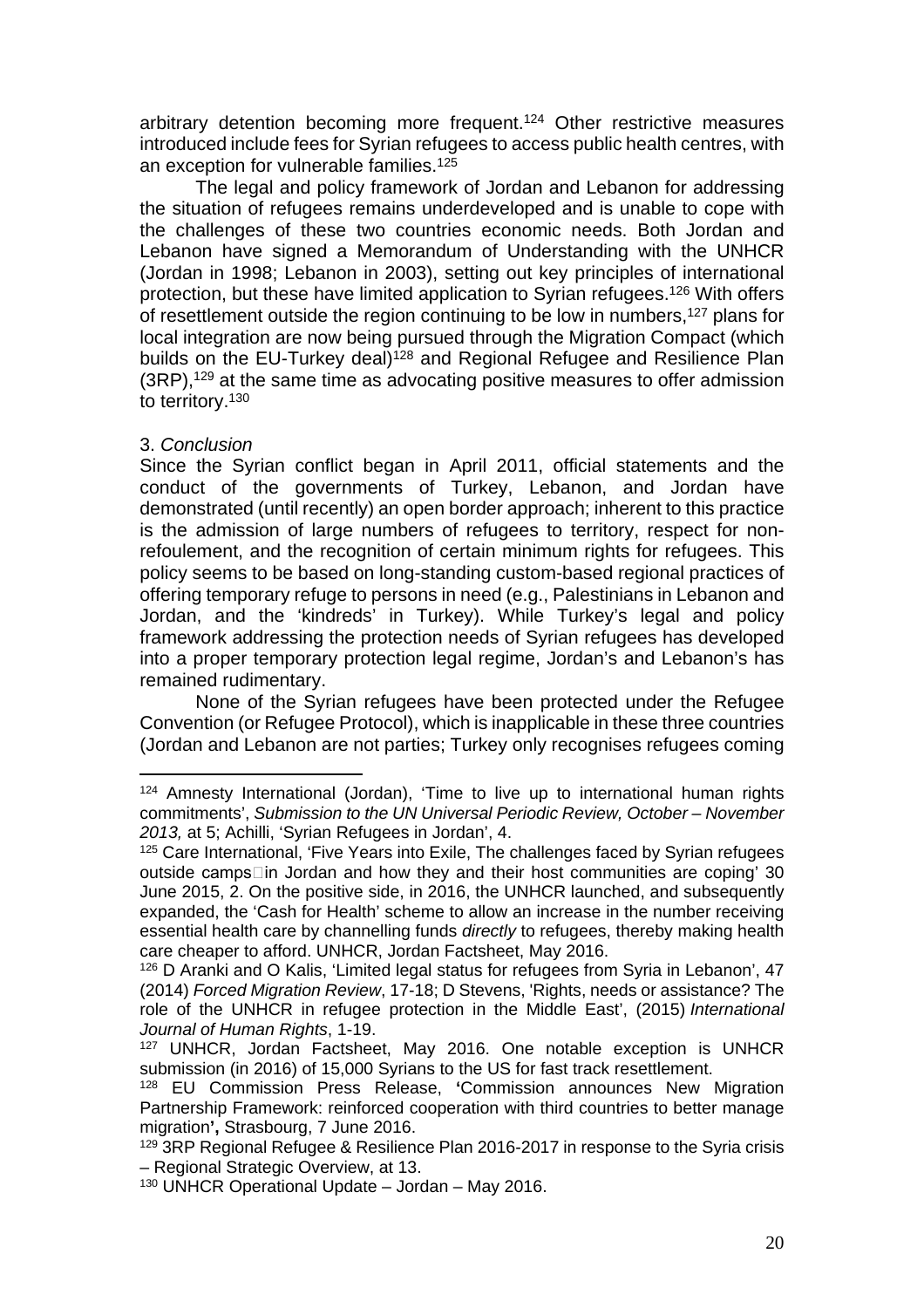arbitrary detention becoming more frequent.<sup>124</sup> Other restrictive measures introduced include fees for Syrian refugees to access public health centres, with an exception for vulnerable families.<sup>125</sup>

The legal and policy framework of Jordan and Lebanon for addressing the situation of refugees remains underdeveloped and is unable to cope with the challenges of these two countries economic needs. Both Jordan and Lebanon have signed a Memorandum of Understanding with the UNHCR (Jordan in 1998; Lebanon in 2003), setting out key principles of international protection, but these have limited application to Syrian refugees.<sup>126</sup> With offers of resettlement outside the region continuing to be low in numbers,<sup>127</sup> plans for local integration are now being pursued through the Migration Compact (which builds on the EU-Turkey deal)<sup>128</sup> and Regional Refugee and Resilience Plan (3RP),<sup>129</sup> at the same time as advocating positive measures to offer admission to territory.<sup>130</sup>

## 3. Conclusion

Since the Syrian conflict began in April 2011, official statements and the conduct of the governments of Turkey, Lebanon, and Jordan have demonstrated (until recently) an open border approach; inherent to this practice is the admission of large numbers of refugees to territory, respect for nonrefoulement, and the recognition of certain minimum rights for refugees. This policy seems to be based on long-standing custom-based regional practices of offering temporary refuge to persons in need (e.g., Palestinians in Lebanon and Jordan, and the 'kindreds' in Turkey). While Turkey's legal and policy framework addressing the protection needs of Syrian refugees has developed into a proper temporary protection legal regime, Jordan's and Lebanon's has remained rudimentary.

None of the Syrian refugees have been protected under the Refugee Convention (or Refugee Protocol), which is inapplicable in these three countries (Jordan and Lebanon are not parties; Turkey only recognises refugees coming

<sup>124</sup> Amnesty International (Jordan), 'Time to live up to international human rights commitments', Submission to the UN Universal Periodic Review, October – November 2013, at 5; Achilli, 'Syrian Refugees in Jordan', 4.

<sup>&</sup>lt;sup>125</sup> Care International, 'Five Years into Exile, The challenges faced by Syrian refugees outside camps Lin Jordan and how they and their host communities are coping' 30 June 2015, 2. On the positive side, in 2016, the UNHCR launched, and subsequently expanded, the 'Cash for Health' scheme to allow an increase in the number receiving essential health care by channelling funds *directly* to refugees, thereby making health care cheaper to afford. UNHCR, Jordan Factsheet, May 2016.

<sup>126</sup> D Aranki and O Kalis, 'Limited legal status for refugees from Syria in Lebanon', 47 (2014) Forced Migration Review, 17-18; D Stevens, 'Rights, needs or assistance? The role of the UNHCR in refugee protection in the Middle East', (2015) International Journal of Human Rights, 1-19.

<sup>127</sup> UNHCR, Jordan Factsheet, May 2016. One notable exception is UNHCR submission (in 2016) of 15,000 Syrians to the US for fast track resettlement.

<sup>128</sup> EU Commission Press Release, **'**Commission announces New Migration Partnership Framework: reinforced cooperation with third countries to better manage migration**',** Strasbourg, 7 June 2016.

<sup>&</sup>lt;sup>129</sup> 3RP Regional Refugee & Resilience Plan 2016-2017 in response to the Syria crisis – Regional Strategic Overview, at 13.

<sup>130</sup> UNHCR Operational Update – Jordan – May 2016.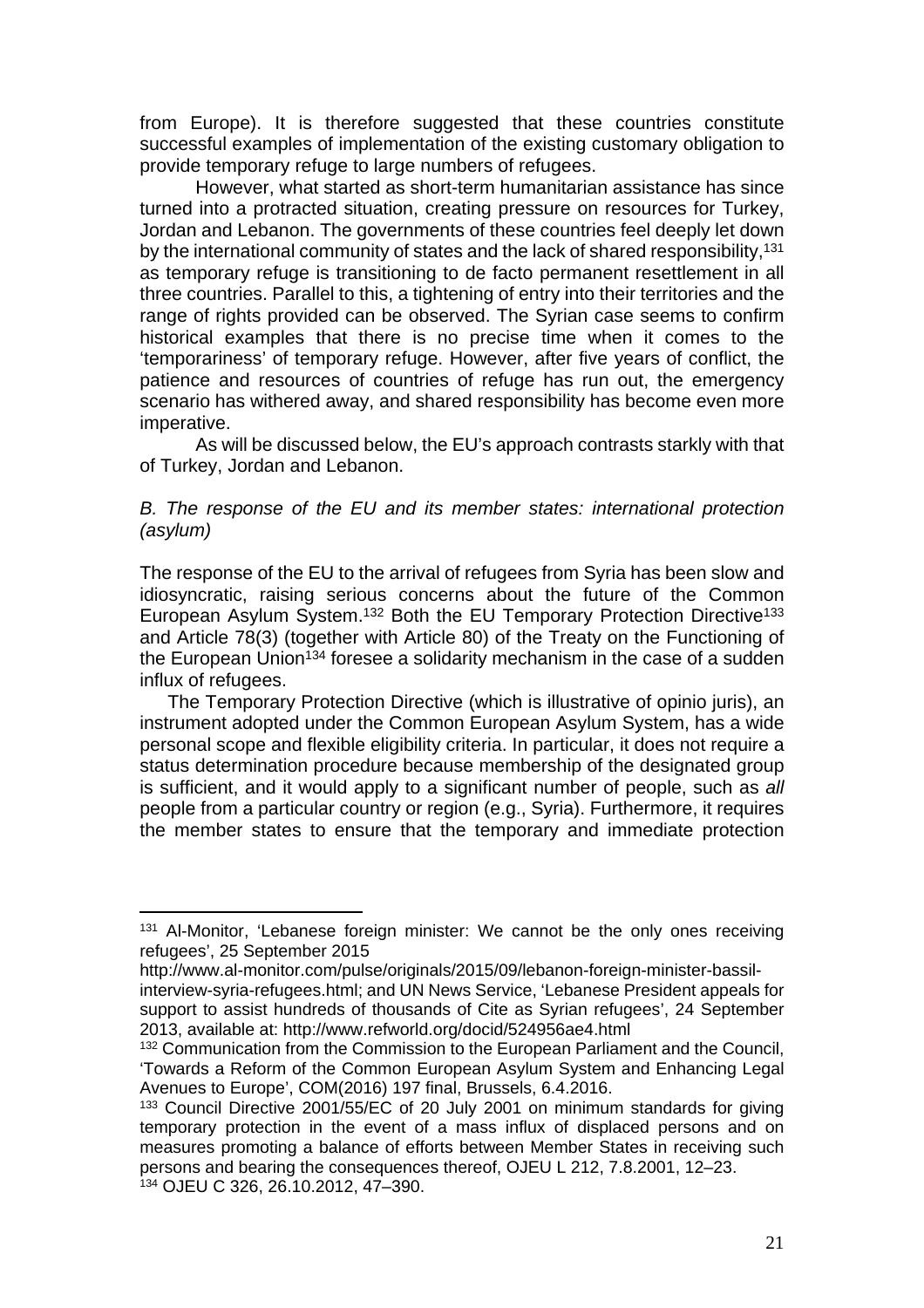from Europe). It is therefore suggested that these countries constitute successful examples of implementation of the existing customary obligation to provide temporary refuge to large numbers of refugees.

However, what started as short-term humanitarian assistance has since turned into a protracted situation, creating pressure on resources for Turkey, Jordan and Lebanon. The governments of these countries feel deeply let down by the international community of states and the lack of shared responsibility,<sup>131</sup> as temporary refuge is transitioning to de facto permanent resettlement in all three countries. Parallel to this, a tightening of entry into their territories and the range of rights provided can be observed. The Syrian case seems to confirm historical examples that there is no precise time when it comes to the 'temporariness' of temporary refuge. However, after five years of conflict, the patience and resources of countries of refuge has run out, the emergency scenario has withered away, and shared responsibility has become even more imperative.

As will be discussed below, the EU's approach contrasts starkly with that of Turkey, Jordan and Lebanon.

#### B. The response of the EU and its member states: international protection (asylum)

The response of the EU to the arrival of refugees from Syria has been slow and idiosyncratic, raising serious concerns about the future of the Common European Asylum System.<sup>132</sup> Both the EU Temporary Protection Directive<sup>133</sup> and Article 78(3) (together with Article 80) of the Treaty on the Functioning of the European Union<sup>134</sup> foresee a solidarity mechanism in the case of a sudden influx of refugees.

The Temporary Protection Directive (which is illustrative of opinio juris), an instrument adopted under the Common European Asylum System, has a wide personal scope and flexible eligibility criteria. In particular, it does not require a status determination procedure because membership of the designated group is sufficient, and it would apply to a significant number of people, such as all people from a particular country or region (e.g., Syria). Furthermore, it requires the member states to ensure that the temporary and immediate protection

<sup>&</sup>lt;sup>131</sup> Al-Monitor, 'Lebanese foreign minister: We cannot be the only ones receiving refugees', 25 September 2015

http://www.al-monitor.com/pulse/originals/2015/09/lebanon-foreign-minister-bassilinterview-syria-refugees.html; and UN News Service, 'Lebanese President appeals for support to assist hundreds of thousands of Cite as Syrian refugees', 24 September 2013, available at: http://www.refworld.org/docid/524956ae4.html

<sup>&</sup>lt;sup>132</sup> Communication from the Commission to the European Parliament and the Council, 'Towards a Reform of the Common European Asylum System and Enhancing Legal Avenues to Europe', COM(2016) 197 final, Brussels, 6.4.2016.

<sup>133</sup> Council Directive 2001/55/EC of 20 July 2001 on minimum standards for giving temporary protection in the event of a mass influx of displaced persons and on measures promoting a balance of efforts between Member States in receiving such persons and bearing the consequences thereof, OJEU L 212, 7.8.2001, 12–23. <sup>134</sup> OJEU C 326, 26.10.2012, 47–390.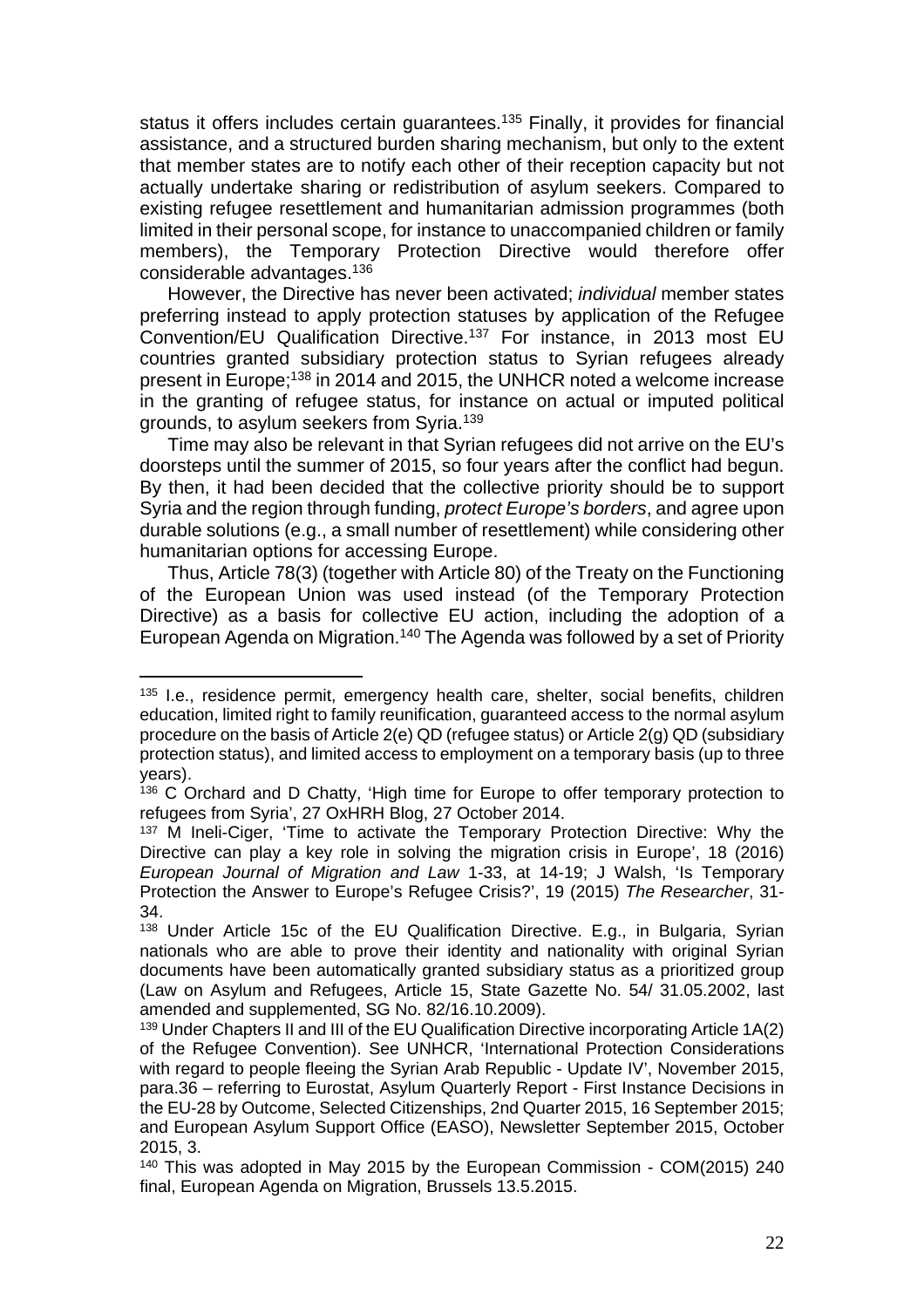status it offers includes certain quarantees.<sup>135</sup> Finally, it provides for financial assistance, and a structured burden sharing mechanism, but only to the extent that member states are to notify each other of their reception capacity but not actually undertake sharing or redistribution of asylum seekers. Compared to existing refugee resettlement and humanitarian admission programmes (both limited in their personal scope, for instance to unaccompanied children or family members), the Temporary Protection Directive would therefore offer considerable advantages.<sup>136</sup>

However, the Directive has never been activated; individual member states preferring instead to apply protection statuses by application of the Refugee Convention/EU Qualification Directive.<sup>137</sup> For instance, in 2013 most EU countries granted subsidiary protection status to Syrian refugees already present in Europe;<sup>138</sup> in 2014 and 2015, the UNHCR noted a welcome increase in the granting of refugee status, for instance on actual or imputed political grounds, to asylum seekers from Syria.<sup>139</sup>

Time may also be relevant in that Syrian refugees did not arrive on the EU's doorsteps until the summer of 2015, so four years after the conflict had begun. By then, it had been decided that the collective priority should be to support Syria and the region through funding, protect Europe's borders, and agree upon durable solutions (e.g., a small number of resettlement) while considering other humanitarian options for accessing Europe.

Thus, Article 78(3) (together with Article 80) of the Treaty on the Functioning of the European Union was used instead (of the Temporary Protection Directive) as a basis for collective EU action, including the adoption of a European Agenda on Migration.<sup>140</sup> The Agenda was followed by a set of Priority

<sup>&</sup>lt;sup>135</sup> I.e., residence permit, emergency health care, shelter, social benefits, children education, limited right to family reunification, guaranteed access to the normal asylum procedure on the basis of Article 2(e) QD (refugee status) or Article 2(g) QD (subsidiary protection status), and limited access to employment on a temporary basis (up to three years).

<sup>&</sup>lt;sup>136</sup> C Orchard and D Chatty. 'High time for Europe to offer temporary protection to refugees from Syria', 27 OxHRH Blog, 27 October 2014.

<sup>&</sup>lt;sup>137</sup> M Ineli-Ciger, 'Time to activate the Temporary Protection Directive: Why the Directive can play a key role in solving the migration crisis in Europe', 18 (2016) European Journal of Migration and Law 1-33, at 14-19; J Walsh, 'Is Temporary Protection the Answer to Europe's Refugee Crisis?', 19 (2015) The Researcher, 31- 34.

<sup>138</sup> Under Article 15c of the EU Qualification Directive. E.g., in Bulgaria, Syrian nationals who are able to prove their identity and nationality with original Syrian documents have been automatically granted subsidiary status as a prioritized group (Law on Asylum and Refugees, Article 15, State Gazette No. 54/ 31.05.2002, last amended and supplemented, SG No. 82/16.10.2009).

<sup>139</sup> Under Chapters II and III of the EU Qualification Directive incorporating Article 1A(2) of the Refugee Convention). See UNHCR, 'International Protection Considerations with regard to people fleeing the Syrian Arab Republic - Update IV', November 2015, para.36 – referring to Eurostat, Asylum Quarterly Report - First Instance Decisions in the EU-28 by Outcome, Selected Citizenships, 2nd Quarter 2015, 16 September 2015; and European Asylum Support Office (EASO), Newsletter September 2015, October 2015, 3.

<sup>&</sup>lt;sup>140</sup> This was adopted in May 2015 by the European Commission - COM(2015) 240 final, European Agenda on Migration, Brussels 13.5.2015.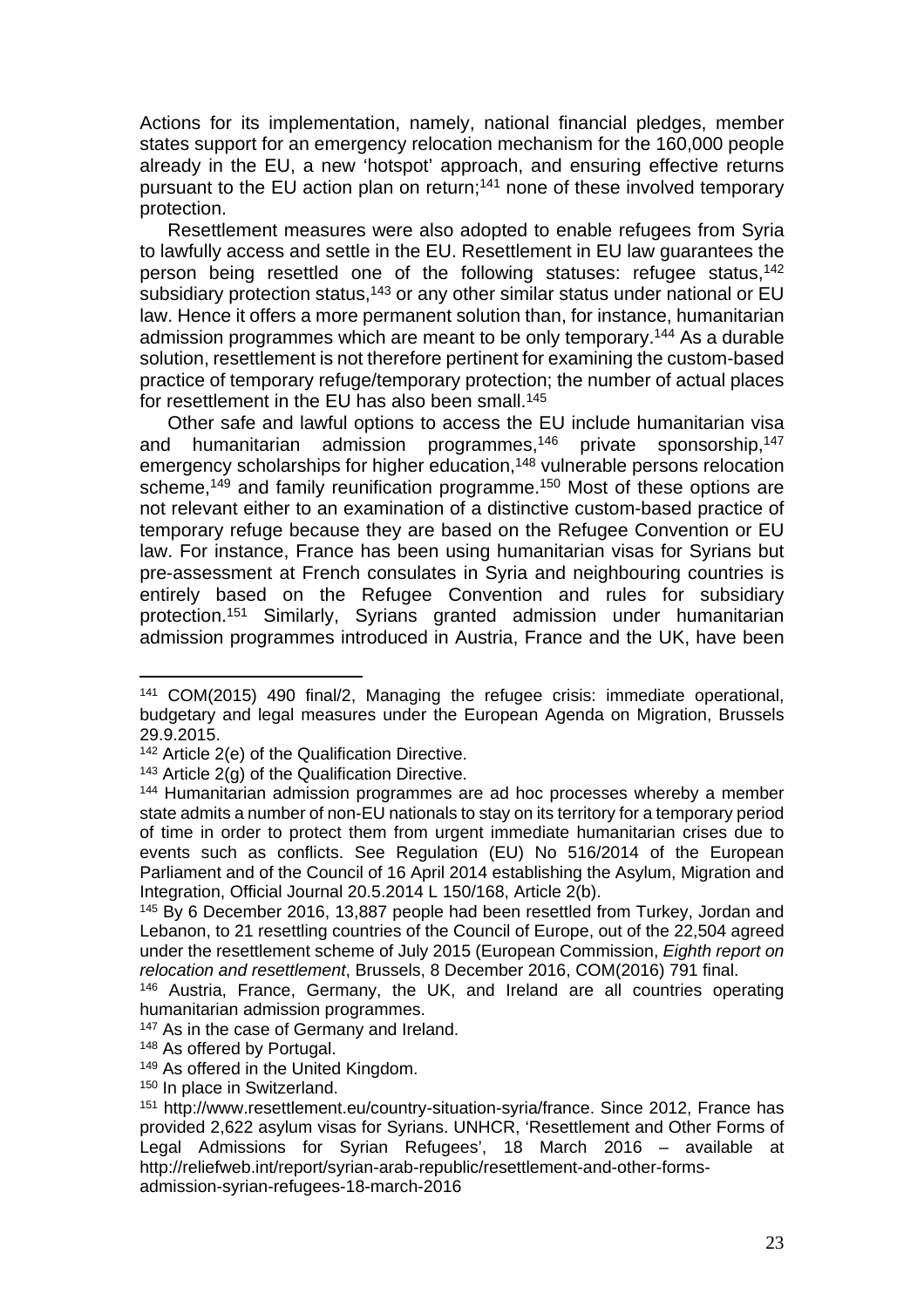Actions for its implementation, namely, national financial pledges, member states support for an emergency relocation mechanism for the 160,000 people already in the EU, a new 'hotspot' approach, and ensuring effective returns pursuant to the EU action plan on return;<sup>141</sup> none of these involved temporary protection.

Resettlement measures were also adopted to enable refugees from Syria to lawfully access and settle in the EU. Resettlement in EU law guarantees the person being resettled one of the following statuses: refugee status,<sup>142</sup> subsidiary protection status,<sup>143</sup> or any other similar status under national or EU law. Hence it offers a more permanent solution than, for instance, humanitarian admission programmes which are meant to be only temporary.<sup>144</sup> As a durable solution, resettlement is not therefore pertinent for examining the custom-based practice of temporary refuge/temporary protection; the number of actual places for resettlement in the EU has also been small.<sup>145</sup>

Other safe and lawful options to access the EU include humanitarian visa and humanitarian admission programmes,<sup>146</sup> private sponsorship,<sup>147</sup> emergency scholarships for higher education,<sup>148</sup> vulnerable persons relocation scheme,<sup>149</sup> and family reunification programme.<sup>150</sup> Most of these options are not relevant either to an examination of a distinctive custom-based practice of temporary refuge because they are based on the Refugee Convention or EU law. For instance, France has been using humanitarian visas for Syrians but pre-assessment at French consulates in Syria and neighbouring countries is entirely based on the Refugee Convention and rules for subsidiary protection.<sup>151</sup> Similarly, Syrians granted admission under humanitarian admission programmes introduced in Austria, France and the UK, have been

<sup>141</sup> COM(2015) 490 final/2, Managing the refugee crisis: immediate operational, budgetary and legal measures under the European Agenda on Migration, Brussels 29.9.2015.

<sup>142</sup> Article 2(e) of the Qualification Directive.

 $143$  Article 2(g) of the Qualification Directive.

<sup>144</sup> Humanitarian admission programmes are ad hoc processes whereby a member state admits a number of non-EU nationals to stay on its territory for a temporary period of time in order to protect them from urgent immediate humanitarian crises due to events such as conflicts. See Regulation (EU) No 516/2014 of the European Parliament and of the Council of 16 April 2014 establishing the Asylum, Migration and Integration, Official Journal 20.5.2014 L 150/168, Article 2(b).

<sup>145</sup> By 6 December 2016, 13,887 people had been resettled from Turkey, Jordan and Lebanon, to 21 resettling countries of the Council of Europe, out of the 22,504 agreed under the resettlement scheme of July 2015 (European Commission, Eighth report on relocation and resettlement, Brussels, 8 December 2016, COM(2016) 791 final.

<sup>146</sup> Austria, France, Germany, the UK, and Ireland are all countries operating humanitarian admission programmes.

<sup>&</sup>lt;sup>147</sup> As in the case of Germany and Ireland.

<sup>148</sup> As offered by Portugal.

<sup>149</sup> As offered in the United Kingdom.

<sup>&</sup>lt;sup>150</sup> In place in Switzerland.

<sup>151</sup> http://www.resettlement.eu/country-situation-syria/france. Since 2012, France has provided 2,622 asylum visas for Syrians. UNHCR, 'Resettlement and Other Forms of Legal Admissions for Syrian Refugees', 18 March 2016 – available at http://reliefweb.int/report/syrian-arab-republic/resettlement-and-other-formsadmission-syrian-refugees-18-march-2016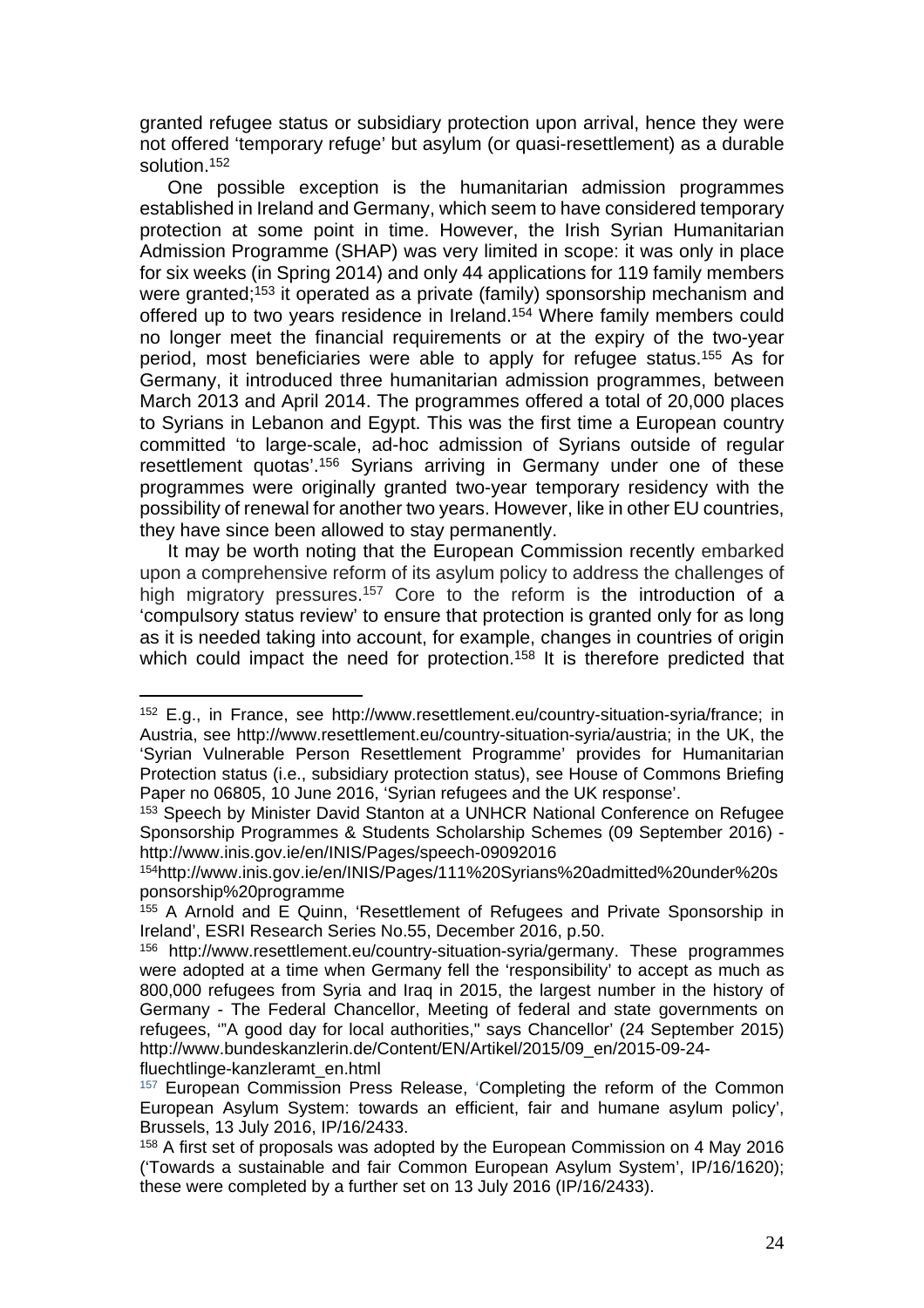granted refugee status or subsidiary protection upon arrival, hence they were not offered 'temporary refuge' but asylum (or quasi-resettlement) as a durable solution.<sup>152</sup>

One possible exception is the humanitarian admission programmes established in Ireland and Germany, which seem to have considered temporary protection at some point in time. However, the Irish Syrian Humanitarian Admission Programme (SHAP) was very limited in scope: it was only in place for six weeks (in Spring 2014) and only 44 applications for 119 family members were granted;<sup>153</sup> it operated as a private (family) sponsorship mechanism and offered up to two years residence in Ireland.<sup>154</sup> Where family members could no longer meet the financial requirements or at the expiry of the two-year period, most beneficiaries were able to apply for refugee status.<sup>155</sup> As for Germany, it introduced three humanitarian admission programmes, between March 2013 and April 2014. The programmes offered a total of 20,000 places to Syrians in Lebanon and Egypt. This was the first time a European country committed 'to large-scale, ad-hoc admission of Syrians outside of regular resettlement quotas'.<sup>156</sup> Syrians arriving in Germany under one of these programmes were originally granted two-year temporary residency with the possibility of renewal for another two years. However, like in other EU countries, they have since been allowed to stay permanently.

It may be worth noting that the European Commission recently embarked upon a comprehensive reform of its asylum policy to address the challenges of high migratory pressures.<sup>157</sup> Core to the reform is the introduction of a 'compulsory status review' to ensure that protection is granted only for as long as it is needed taking into account, for example, changes in countries of origin which could impact the need for protection.<sup>158</sup> It is therefore predicted that

<sup>152</sup> E.g., in France, see http://www.resettlement.eu/country-situation-syria/france; in Austria, see http://www.resettlement.eu/country-situation-syria/austria; in the UK, the 'Syrian Vulnerable Person Resettlement Programme' provides for Humanitarian Protection status (i.e., subsidiary protection status), see House of Commons Briefing Paper no 06805, 10 June 2016, 'Syrian refugees and the UK response'.

<sup>153</sup> Speech by Minister David Stanton at a UNHCR National Conference on Refugee Sponsorship Programmes & Students Scholarship Schemes (09 September 2016) http://www.inis.gov.ie/en/INIS/Pages/speech-09092016

<sup>154</sup>http://www.inis.gov.ie/en/INIS/Pages/111%20Syrians%20admitted%20under%20s ponsorship%20programme

<sup>155</sup> A Arnold and E Quinn, 'Resettlement of Refugees and Private Sponsorship in Ireland', ESRI Research Series No.55, December 2016, p.50.

<sup>156</sup> http://www.resettlement.eu/country-situation-syria/germany. These programmes were adopted at a time when Germany fell the 'responsibility' to accept as much as 800,000 refugees from Syria and Iraq in 2015, the largest number in the history of Germany - The Federal Chancellor, Meeting of federal and state governments on refugees, '"A good day for local authorities," says Chancellor' (24 September 2015) http://www.bundeskanzlerin.de/Content/EN/Artikel/2015/09\_en/2015-09-24 fluechtlinge-kanzleramt\_en.html

<sup>&</sup>lt;sup>157</sup> European Commission Press Release, 'Completing the reform of the Common European Asylum System: towards an efficient, fair and humane asylum policy', Brussels, 13 July 2016, IP/16/2433.

<sup>&</sup>lt;sup>158</sup> A first set of proposals was adopted by the European Commission on 4 May 2016 ('Towards a sustainable and fair Common European Asylum System', IP/16/1620); these were completed by a further set on 13 July 2016 (IP/16/2433).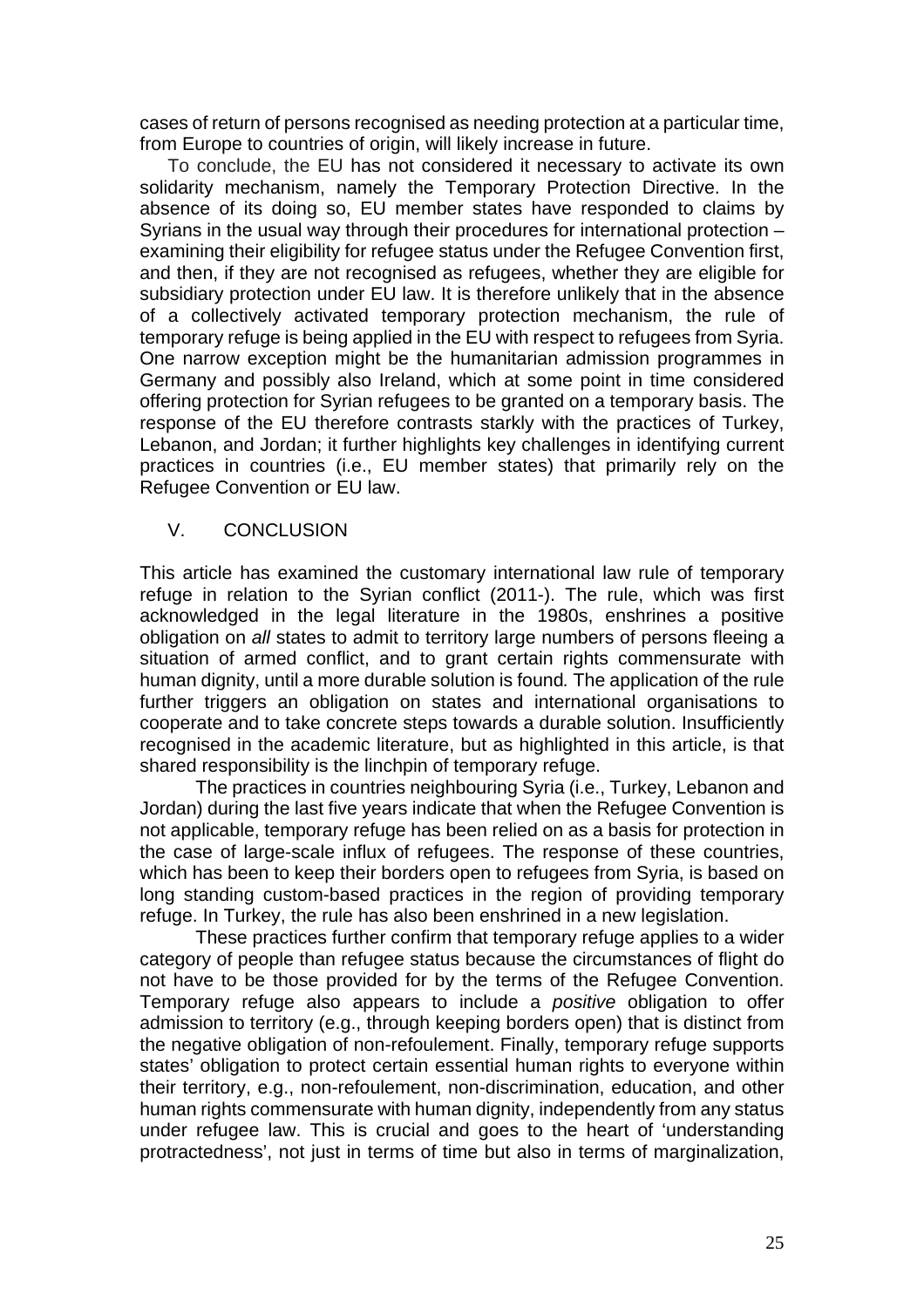cases of return of persons recognised as needing protection at a particular time, from Europe to countries of origin, will likely increase in future.

To conclude, the EU has not considered it necessary to activate its own solidarity mechanism, namely the Temporary Protection Directive. In the absence of its doing so, EU member states have responded to claims by Syrians in the usual way through their procedures for international protection – examining their eligibility for refugee status under the Refugee Convention first, and then, if they are not recognised as refugees, whether they are eligible for subsidiary protection under EU law. It is therefore unlikely that in the absence of a collectively activated temporary protection mechanism, the rule of temporary refuge is being applied in the EU with respect to refugees from Syria. One narrow exception might be the humanitarian admission programmes in Germany and possibly also Ireland, which at some point in time considered offering protection for Syrian refugees to be granted on a temporary basis. The response of the EU therefore contrasts starkly with the practices of Turkey, Lebanon, and Jordan; it further highlights key challenges in identifying current practices in countries (i.e., EU member states) that primarily rely on the Refugee Convention or EU law.

#### V. CONCLUSION

This article has examined the customary international law rule of temporary refuge in relation to the Syrian conflict (2011-). The rule, which was first acknowledged in the legal literature in the 1980s, enshrines a positive obligation on all states to admit to territory large numbers of persons fleeing a situation of armed conflict, and to grant certain rights commensurate with human dignity, until a more durable solution is found. The application of the rule further triggers an obligation on states and international organisations to cooperate and to take concrete steps towards a durable solution. Insufficiently recognised in the academic literature, but as highlighted in this article, is that shared responsibility is the linchpin of temporary refuge.

The practices in countries neighbouring Syria (i.e., Turkey, Lebanon and Jordan) during the last five years indicate that when the Refugee Convention is not applicable, temporary refuge has been relied on as a basis for protection in the case of large-scale influx of refugees. The response of these countries, which has been to keep their borders open to refugees from Syria, is based on long standing custom-based practices in the region of providing temporary refuge. In Turkey, the rule has also been enshrined in a new legislation.

These practices further confirm that temporary refuge applies to a wider category of people than refugee status because the circumstances of flight do not have to be those provided for by the terms of the Refugee Convention. Temporary refuge also appears to include a positive obligation to offer admission to territory (e.g., through keeping borders open) that is distinct from the negative obligation of non-refoulement. Finally, temporary refuge supports states' obligation to protect certain essential human rights to everyone within their territory, e.g., non-refoulement, non-discrimination, education, and other human rights commensurate with human dignity, independently from any status under refugee law. This is crucial and goes to the heart of 'understanding protractedness', not just in terms of time but also in terms of marginalization,